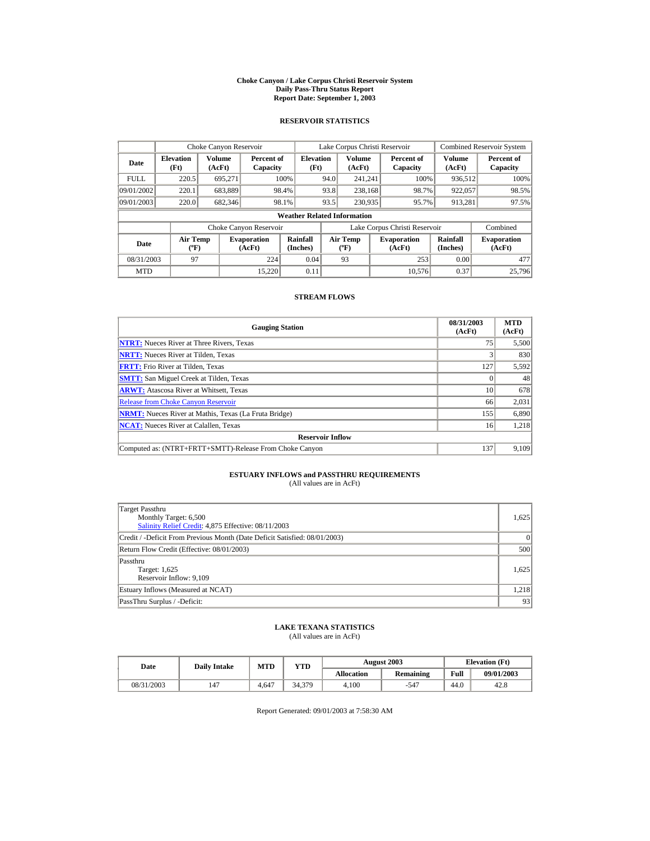#### **Choke Canyon / Lake Corpus Christi Reservoir System Daily Pass-Thru Status Report Report Date: September 1, 2003**

### **RESERVOIR STATISTICS**

|                                    |                                | Choke Canyon Reservoir |                              |                          |                 | Lake Corpus Christi Reservoir     | <b>Combined Reservoir System</b> |                               |                         |                              |
|------------------------------------|--------------------------------|------------------------|------------------------------|--------------------------|-----------------|-----------------------------------|----------------------------------|-------------------------------|-------------------------|------------------------------|
| Date                               | <b>Elevation</b><br>(Ft)       | Volume<br>(AcFt)       | Percent of<br>Capacity       | <b>Elevation</b><br>(Ft) |                 | <b>Volume</b><br>(AcFt)           |                                  | Percent of<br>Capacity        | <b>Volume</b><br>(AcFt) | Percent of<br>Capacity       |
| <b>FULL</b>                        | 220.5                          | 695,271                |                              | 100%                     | 94.0            | 241.241                           |                                  | 100%                          | 936,512                 | 100%                         |
| 09/01/2002                         | 220.1                          | 683,889                |                              | 98.4%                    | 93.8            | 238,168                           |                                  | 98.7%                         | 922,057                 | 98.5%                        |
| 09/01/2003                         | 220.0                          | 682,346                |                              | 98.1%                    | 93.5<br>230,935 |                                   |                                  | 95.7%                         | 913,281                 | 97.5%                        |
| <b>Weather Related Information</b> |                                |                        |                              |                          |                 |                                   |                                  |                               |                         |                              |
|                                    |                                |                        | Choke Canyon Reservoir       |                          |                 |                                   |                                  | Lake Corpus Christi Reservoir |                         | Combined                     |
| Date                               | Air Temp<br>$({}^o\mathrm{F})$ |                        | <b>Evaporation</b><br>(AcFt) | Rainfall<br>(Inches)     |                 | Air Temp<br>$({}^{\circ}{\rm F})$ |                                  | <b>Evaporation</b><br>(AcFt)  | Rainfall<br>(Inches)    | <b>Evaporation</b><br>(AcFt) |
| 08/31/2003                         | 97                             |                        | 224                          | 0.04                     |                 | 93                                |                                  | 253                           | 0.00                    | 477                          |
| <b>MTD</b>                         |                                |                        | 15.220                       | 0.11                     |                 |                                   |                                  | 10.576                        | 0.37                    | 25,796                       |

### **STREAM FLOWS**

| <b>Gauging Station</b>                                       | 08/31/2003<br>(AcFt) | <b>MTD</b><br>(AcFt) |
|--------------------------------------------------------------|----------------------|----------------------|
| <b>NTRT:</b> Nueces River at Three Rivers, Texas             | 75                   | 5,500                |
| <b>NRTT:</b> Nueces River at Tilden, Texas                   |                      | 830                  |
| <b>FRTT:</b> Frio River at Tilden, Texas                     | 127                  | 5,592                |
| <b>SMTT:</b> San Miguel Creek at Tilden, Texas               |                      | 48                   |
| <b>ARWT:</b> Atascosa River at Whitsett, Texas               | 10                   | 678                  |
| <b>Release from Choke Canyon Reservoir</b>                   | 66                   | 2,031                |
| <b>NRMT:</b> Nueces River at Mathis, Texas (La Fruta Bridge) | 155                  | 6,890                |
| <b>NCAT:</b> Nueces River at Calallen, Texas                 | 16                   | 1.218                |
| <b>Reservoir Inflow</b>                                      |                      |                      |
| Computed as: (NTRT+FRTT+SMTT)-Release From Choke Canyon      | 137                  | 9,109                |

## **ESTUARY INFLOWS and PASSTHRU REQUIREMENTS**<br>(All values are in AcFt)

| Target Passthru<br>Monthly Target: 6,500<br>Salinity Relief Credit: 4,875 Effective: 08/11/2003 | 1,625    |
|-------------------------------------------------------------------------------------------------|----------|
| Credit / -Deficit From Previous Month (Date Deficit Satisfied: 08/01/2003)                      | $\Omega$ |
| Return Flow Credit (Effective: 08/01/2003)                                                      | 500      |
| Passthru<br>Target: 1,625<br>Reservoir Inflow: 9,109                                            | 1.625    |
| Estuary Inflows (Measured at NCAT)                                                              | 1,218    |
| PassThru Surplus / -Deficit:                                                                    | 93       |

## **LAKE TEXANA STATISTICS**

(All values are in AcFt)

| Date       | <b>Daily Intake</b> | <b>MTD</b> | YTD    |                   | <b>August 2003</b> | <b>Elevation</b> (Ft) |            |
|------------|---------------------|------------|--------|-------------------|--------------------|-----------------------|------------|
|            |                     |            |        | <b>Allocation</b> | Remaining          | Full                  | 09/01/2003 |
| 08/31/2003 | 147                 | 4.647      | 34.379 | 4.100             | $-547$             | 44.0                  | 42.8       |

Report Generated: 09/01/2003 at 7:58:30 AM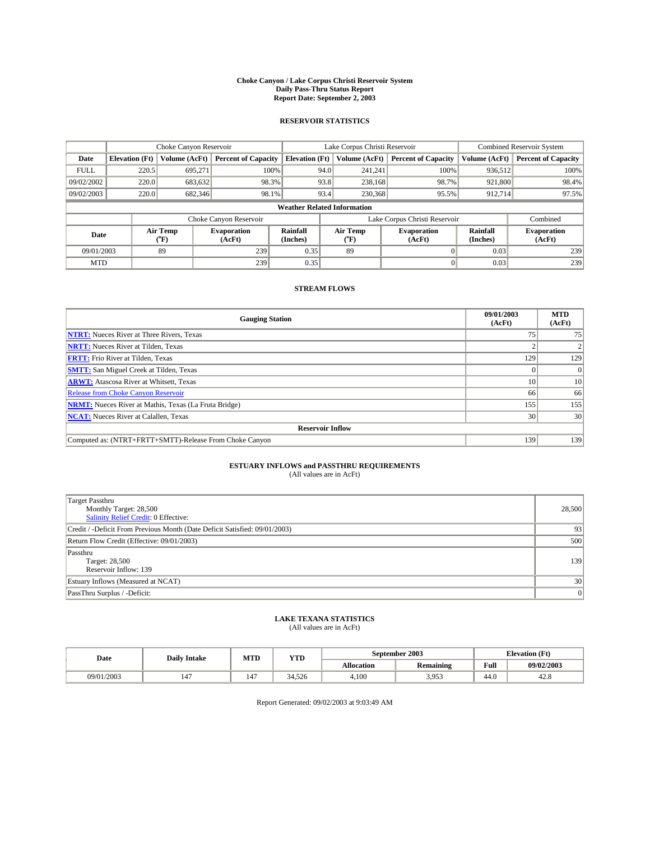#### **Choke Canyon / Lake Corpus Christi Reservoir System Daily Pass-Thru Status Report Report Date: September 2, 2003**

### **RESERVOIR STATISTICS**

|             |                                    | Choke Canyon Reservoir |                              |                             |      | Lake Corpus Christi Reservoir | <b>Combined Reservoir System</b> |                      |                              |  |
|-------------|------------------------------------|------------------------|------------------------------|-----------------------------|------|-------------------------------|----------------------------------|----------------------|------------------------------|--|
| Date        | <b>Elevation</b> (Ft)              | Volume (AcFt)          | <b>Percent of Capacity</b>   | <b>Elevation (Ft)</b>       |      | Volume (AcFt)                 | <b>Percent of Capacity</b>       | Volume (AcFt)        | <b>Percent of Capacity</b>   |  |
| <b>FULL</b> | 220.5                              | 695,271                | 100%                         |                             | 94.0 | 241,241                       | 100%                             | 936.512              | 100%                         |  |
| 09/02/2002  | 220.0                              | 683.632                | 98.3%                        |                             | 93.8 | 238.168                       | 98.7%                            | 921,800              | 98.4%                        |  |
| 09/02/2003  | 220.0                              | 682,346                | 98.1%                        |                             | 93.4 | 230,368                       | 95.5%                            | 912,714              | 97.5%                        |  |
|             | <b>Weather Related Information</b> |                        |                              |                             |      |                               |                                  |                      |                              |  |
|             |                                    |                        | Choke Canyon Reservoir       |                             |      |                               | Lake Corpus Christi Reservoir    |                      | Combined                     |  |
| Date        |                                    | Air Temp<br>(°F)       | <b>Evaporation</b><br>(AcFt) | <b>Rainfall</b><br>(Inches) |      | Air Temp<br>("F)              | <b>Evaporation</b><br>(AcFt)     | Rainfall<br>(Inches) | <b>Evaporation</b><br>(AcFt) |  |
| 09/01/2003  |                                    | 89                     | 239                          | 0.35                        |      | 89                            |                                  | 0.03                 | 239                          |  |
| <b>MTD</b>  |                                    |                        | 239                          | 0.35                        |      |                               |                                  | 0.03                 | 239                          |  |

## **STREAM FLOWS**

| <b>Gauging Station</b>                                       | 09/01/2003<br>(AcFt) | <b>MTD</b><br>(AcFt) |
|--------------------------------------------------------------|----------------------|----------------------|
| <b>NTRT:</b> Nueces River at Three Rivers, Texas             | 75                   | 75                   |
| <b>NRTT:</b> Nueces River at Tilden, Texas                   |                      |                      |
| <b>FRTT:</b> Frio River at Tilden, Texas                     | 129                  | 129                  |
| <b>SMTT:</b> San Miguel Creek at Tilden, Texas               |                      |                      |
| <b>ARWT:</b> Atascosa River at Whitsett, Texas               | 10                   | 10 <sup>1</sup>      |
| <b>Release from Choke Canyon Reservoir</b>                   | 66                   | 66                   |
| <b>NRMT:</b> Nueces River at Mathis, Texas (La Fruta Bridge) | 155                  | 155                  |
| <b>NCAT:</b> Nueces River at Calallen, Texas                 | 30                   | 30                   |
| <b>Reservoir Inflow</b>                                      |                      |                      |
| Computed as: (NTRT+FRTT+SMTT)-Release From Choke Canyon      | 139                  | 139                  |

## **ESTUARY INFLOWS and PASSTHRU REQUIREMENTS**<br>(All values are in AcFt)

| <b>Target Passthru</b><br>Monthly Target: 28,500<br>Salinity Relief Credit: 0 Effective: | 28,500 |
|------------------------------------------------------------------------------------------|--------|
| Credit / -Deficit From Previous Month (Date Deficit Satisfied: 09/01/2003)               | 93     |
| Return Flow Credit (Effective: 09/01/2003)                                               | 500    |
| Passthru<br>Target: 28,500<br>Reservoir Inflow: 139                                      | 139    |
| Estuary Inflows (Measured at NCAT)                                                       | 30     |
| PassThru Surplus / -Deficit:                                                             | 0      |

# **LAKE TEXANA STATISTICS** (All values are in AcFt)

| Date       | <b>Daily Intake</b>            | MTD                   | YTD    |                   | September 2003                | <b>Elevation</b> (Ft) |            |
|------------|--------------------------------|-----------------------|--------|-------------------|-------------------------------|-----------------------|------------|
|            |                                |                       |        | <b>Allocation</b> | $\cdot$ .<br><b>Remaining</b> | Full                  | 09/02/2003 |
| 09/01/2003 | $\overline{\phantom{a}}$<br>14 | $\overline{1}$<br>14. | 34.526 | 4,100             | 1052<br>J. <i>J.J.J</i>       | . .<br>-44.6          | 42.8       |

Report Generated: 09/02/2003 at 9:03:49 AM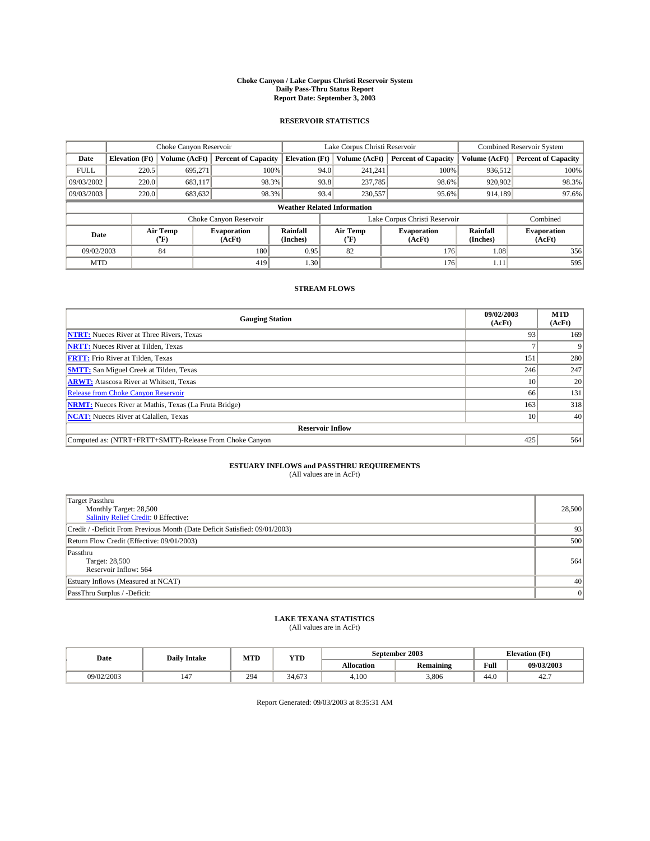#### **Choke Canyon / Lake Corpus Christi Reservoir System Daily Pass-Thru Status Report Report Date: September 3, 2003**

### **RESERVOIR STATISTICS**

|                                    |                       | Choke Canyon Reservoir      |                              |                             |      | Lake Corpus Christi Reservoir | <b>Combined Reservoir System</b> |                      |                              |
|------------------------------------|-----------------------|-----------------------------|------------------------------|-----------------------------|------|-------------------------------|----------------------------------|----------------------|------------------------------|
| Date                               | <b>Elevation</b> (Ft) | Volume (AcFt)               | <b>Percent of Capacity</b>   | <b>Elevation</b> (Ft)       |      | Volume (AcFt)                 | <b>Percent of Capacity</b>       | Volume (AcFt)        | <b>Percent of Capacity</b>   |
| <b>FULL</b>                        | 220.5                 | 695,271                     |                              | 100%                        | 94.0 | 241,241                       | 100%                             | 936.512              | 100%                         |
| 09/03/2002                         | 220.0                 | 683.117                     | 98.3%                        |                             | 93.8 | 237,785                       | 98.6%                            | 920,902              | 98.3%                        |
| 09/03/2003                         | 220.0                 | 683,632                     | 98.3%                        |                             | 93.4 | 230,557                       | 95.6%                            | 914,189              | 97.6%                        |
| <b>Weather Related Information</b> |                       |                             |                              |                             |      |                               |                                  |                      |                              |
|                                    |                       |                             | Choke Canyon Reservoir       |                             |      |                               | Lake Corpus Christi Reservoir    |                      | Combined                     |
| Date                               |                       | Air Temp<br>${}^{\circ}$ F) | <b>Evaporation</b><br>(AcFt) | <b>Rainfall</b><br>(Inches) |      | Air Temp<br>("F)              | <b>Evaporation</b><br>(AcFt)     | Rainfall<br>(Inches) | <b>Evaporation</b><br>(AcFt) |
| 09/02/2003                         |                       | 84                          | 180                          | 0.95                        |      | 82                            | 176                              | 1.08                 | 356                          |
| <b>MTD</b>                         |                       |                             | 419                          | 1.30                        |      |                               | 176                              | 1.11                 | 595                          |

## **STREAM FLOWS**

| <b>Gauging Station</b>                                       | 09/02/2003<br>(AcFt) | <b>MTD</b><br>(AcFt) |
|--------------------------------------------------------------|----------------------|----------------------|
| <b>NTRT:</b> Nueces River at Three Rivers, Texas             | 93                   | 169                  |
| <b>NRTT:</b> Nueces River at Tilden, Texas                   |                      |                      |
| <b>FRTT:</b> Frio River at Tilden, Texas                     | 151                  | 280                  |
| <b>SMTT:</b> San Miguel Creek at Tilden, Texas               | 246                  | 247                  |
| <b>ARWT:</b> Atascosa River at Whitsett, Texas               | 10                   | 20                   |
| <b>Release from Choke Canyon Reservoir</b>                   | 66                   | 131                  |
| <b>NRMT:</b> Nueces River at Mathis, Texas (La Fruta Bridge) | 163                  | 318                  |
| <b>NCAT:</b> Nueces River at Calallen, Texas                 | 10                   | 40                   |
| <b>Reservoir Inflow</b>                                      |                      |                      |
| Computed as: (NTRT+FRTT+SMTT)-Release From Choke Canyon      | 425                  | 564                  |

## **ESTUARY INFLOWS and PASSTHRU REQUIREMENTS**<br>(All values are in AcFt)

| <b>Target Passthru</b><br>Monthly Target: 28,500<br>Salinity Relief Credit: 0 Effective: | 28,500 |
|------------------------------------------------------------------------------------------|--------|
| Credit / -Deficit From Previous Month (Date Deficit Satisfied: 09/01/2003)               | 93     |
| Return Flow Credit (Effective: 09/01/2003)                                               | 500    |
| Passthru<br>Target: 28,500<br>Reservoir Inflow: 564                                      | 564    |
| Estuary Inflows (Measured at NCAT)                                                       | 40     |
| PassThru Surplus / -Deficit:                                                             | 0      |

# **LAKE TEXANA STATISTICS** (All values are in AcFt)

| Date       | <b>Daily Intake</b> | MTD | <b>YTD</b> |                   | September 2003   | <b>Elevation</b> (Ft) |            |
|------------|---------------------|-----|------------|-------------------|------------------|-----------------------|------------|
|            |                     |     |            | <b>Allocation</b> | <b>Remaining</b> | Full                  | 09/03/2003 |
| 09/02/2003 | 147                 | 294 | 34.673     | 4.100             | 3.806            | 44.U                  | 42.        |

Report Generated: 09/03/2003 at 8:35:31 AM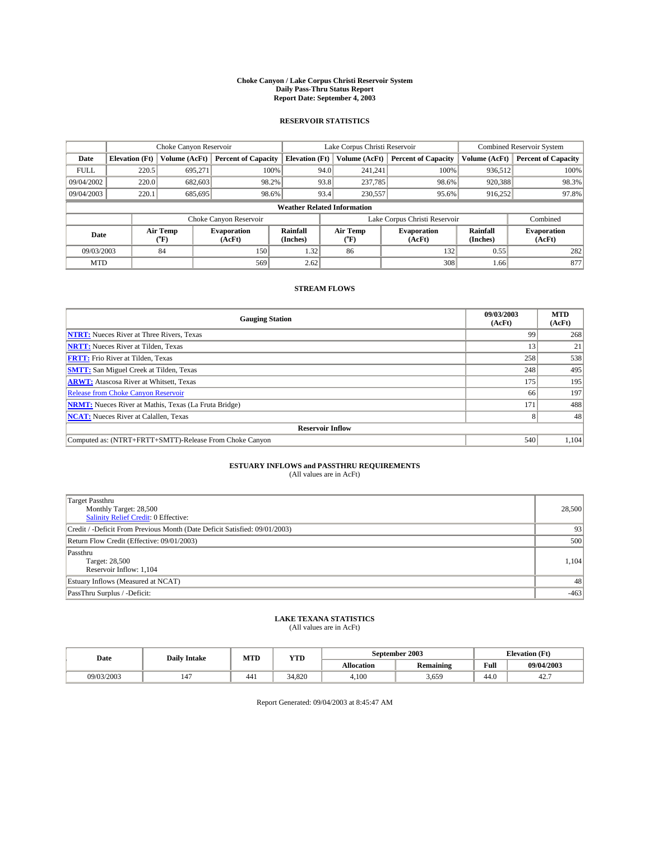#### **Choke Canyon / Lake Corpus Christi Reservoir System Daily Pass-Thru Status Report Report Date: September 4, 2003**

### **RESERVOIR STATISTICS**

|             | Choke Canyon Reservoir              |               |                              |                                   | Lake Corpus Christi Reservoir |                          |                              |                      | <b>Combined Reservoir System</b> |  |
|-------------|-------------------------------------|---------------|------------------------------|-----------------------------------|-------------------------------|--------------------------|------------------------------|----------------------|----------------------------------|--|
| Date        | <b>Elevation</b> (Ft)               | Volume (AcFt) | <b>Percent of Capacity</b>   | <b>Elevation</b> (Ft)             |                               | Volume (AcFt)            | <b>Percent of Capacity</b>   | Volume (AcFt)        | <b>Percent of Capacity</b>       |  |
| <b>FULL</b> | 220.5                               | 695,271       | 100%                         |                                   | 94.0                          | 241,241                  | 100%                         | 936,512              | 100%                             |  |
| 09/04/2002  | 220.0                               | 682,603       | 98.2%                        |                                   | 93.8                          | 237,785                  | 98.6%                        | 920,388              | 98.3%                            |  |
| 09/04/2003  | 220.1                               | 685,695       |                              | 93.4<br>98.6%<br>230,557<br>95.6% |                               |                          |                              | 916,252              | 97.8%                            |  |
|             | <b>Weather Related Information</b>  |               |                              |                                   |                               |                          |                              |                      |                                  |  |
|             |                                     |               | Choke Canyon Reservoir       |                                   | Lake Corpus Christi Reservoir |                          |                              |                      | Combined                         |  |
|             | Air Temp<br>Date<br>${}^{\circ}$ F) |               | <b>Evaporation</b><br>(AcFt) | <b>Rainfall</b><br>(Inches)       |                               | Air Temp<br>$\rm ^{o}F)$ | <b>Evaporation</b><br>(AcFt) | Rainfall<br>(Inches) | <b>Evaporation</b><br>(AcFt)     |  |
| 09/03/2003  |                                     | 84            | 150                          | 1.32                              |                               | 86                       | 132                          | 0.55                 | 282                              |  |
| <b>MTD</b>  |                                     |               | 569                          | 2.62                              |                               |                          | 308                          | 1.66                 | 877                              |  |

### **STREAM FLOWS**

| <b>Gauging Station</b>                                       | 09/03/2003<br>(AcFt) | <b>MTD</b><br>(AcFt) |
|--------------------------------------------------------------|----------------------|----------------------|
| <b>NTRT:</b> Nueces River at Three Rivers, Texas             | 99                   | 268                  |
| <b>NRTT:</b> Nueces River at Tilden, Texas                   | 13                   | 21                   |
| <b>FRTT:</b> Frio River at Tilden, Texas                     | 258                  | 538                  |
| <b>SMTT:</b> San Miguel Creek at Tilden, Texas               | 248                  | 495                  |
| <b>ARWT:</b> Atascosa River at Whitsett, Texas               | 175                  | 195                  |
| Release from Choke Canyon Reservoir                          | 66                   | 197                  |
| <b>NRMT:</b> Nueces River at Mathis, Texas (La Fruta Bridge) | 171                  | 488                  |
| <b>NCAT:</b> Nueces River at Calallen, Texas                 |                      | 48                   |
| <b>Reservoir Inflow</b>                                      |                      |                      |
| Computed as: (NTRT+FRTT+SMTT)-Release From Choke Canyon      | 540                  | 1,104                |

# **ESTUARY INFLOWS and PASSTHRU REQUIREMENTS**<br>(All values are in AcFt)

| <b>Target Passthru</b><br>Monthly Target: 28,500<br>Salinity Relief Credit: 0 Effective: | 28,500 |
|------------------------------------------------------------------------------------------|--------|
| Credit / -Deficit From Previous Month (Date Deficit Satisfied: 09/01/2003)               | 93     |
| Return Flow Credit (Effective: 09/01/2003)                                               | 500    |
| Passthru<br>Target: 28,500<br>Reservoir Inflow: 1,104                                    | 1,104  |
| Estuary Inflows (Measured at NCAT)                                                       | 48     |
| PassThru Surplus / -Deficit:                                                             | $-463$ |

# **LAKE TEXANA STATISTICS** (All values are in AcFt)

| Date       | <b>Daily Intake</b> | MTD | <b>YTD</b> |                   | September 2003   | <b>Elevation</b> (Ft) |            |
|------------|---------------------|-----|------------|-------------------|------------------|-----------------------|------------|
|            |                     |     |            | <b>Allocation</b> | <b>Remaining</b> | Full                  | 09/04/2003 |
| 09/03/2003 | 147                 | 441 | 34.820     | 4.100             | 3,659            | $\sim$<br>44.U        | 42.        |

Report Generated: 09/04/2003 at 8:45:47 AM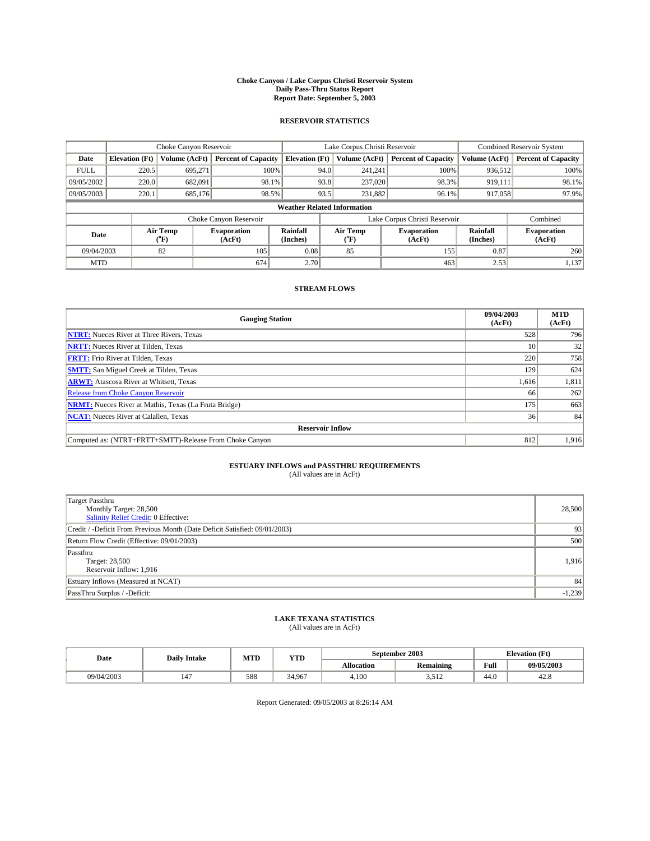#### **Choke Canyon / Lake Corpus Christi Reservoir System Daily Pass-Thru Status Report Report Date: September 5, 2003**

### **RESERVOIR STATISTICS**

|             | Choke Canyon Reservoir             |                  | Lake Corpus Christi Reservoir |                             |      |                               | <b>Combined Reservoir System</b> |                      |                              |  |
|-------------|------------------------------------|------------------|-------------------------------|-----------------------------|------|-------------------------------|----------------------------------|----------------------|------------------------------|--|
| Date        | <b>Elevation</b> (Ft)              | Volume (AcFt)    | <b>Percent of Capacity</b>    | <b>Elevation (Ft)</b>       |      | Volume (AcFt)                 | <b>Percent of Capacity</b>       | Volume (AcFt)        | <b>Percent of Capacity</b>   |  |
| <b>FULL</b> | 220.5                              | 695,271          |                               | 100%                        | 94.0 | 241,241                       | 100%                             | 936.512              | 100%                         |  |
| 09/05/2002  | 220.0                              | 682.091          | 98.1%                         |                             | 93.8 | 237,020                       | 98.3%                            | 919,111              | 98.1%                        |  |
| 09/05/2003  | 220.1                              | 685.176          | 98.5%                         |                             | 93.5 |                               | 231,882<br>96.1%                 | 917,058              | 97.9%                        |  |
|             | <b>Weather Related Information</b> |                  |                               |                             |      |                               |                                  |                      |                              |  |
|             |                                    |                  | Choke Canyon Reservoir        |                             |      | Lake Corpus Christi Reservoir |                                  |                      | Combined                     |  |
| Date        |                                    | Air Temp<br>(°F) | <b>Evaporation</b><br>(AcFt)  | <b>Rainfall</b><br>(Inches) |      | Air Temp<br>("F)              | <b>Evaporation</b><br>(AcFt)     | Rainfall<br>(Inches) | <b>Evaporation</b><br>(AcFt) |  |
| 09/04/2003  |                                    | 82               | 105                           | 0.08                        |      | 85                            | 155                              | 0.87                 | 260                          |  |
| <b>MTD</b>  |                                    |                  | 674                           | 2.70                        |      |                               | 463                              | 2.53                 | 1,137                        |  |

## **STREAM FLOWS**

| <b>Gauging Station</b>                                       | 09/04/2003<br>(AcFt) | <b>MTD</b><br>(AcFt) |
|--------------------------------------------------------------|----------------------|----------------------|
| <b>NTRT:</b> Nueces River at Three Rivers, Texas             | 528                  | 796                  |
| <b>NRTT:</b> Nueces River at Tilden, Texas                   | 10                   | 32                   |
| <b>FRTT:</b> Frio River at Tilden, Texas                     | 220                  | 758                  |
| <b>SMTT:</b> San Miguel Creek at Tilden, Texas               | 129                  | 624                  |
| <b>ARWT:</b> Atascosa River at Whitsett, Texas               | 1,616                | 1,811                |
| Release from Choke Canyon Reservoir                          | 66                   | 262                  |
| <b>NRMT:</b> Nueces River at Mathis, Texas (La Fruta Bridge) | 175                  | 663                  |
| <b>NCAT:</b> Nueces River at Calallen, Texas                 | 36 <sup>1</sup>      | 84                   |
| <b>Reservoir Inflow</b>                                      |                      |                      |
| Computed as: (NTRT+FRTT+SMTT)-Release From Choke Canyon      | 812                  | 1,916                |

## **ESTUARY INFLOWS and PASSTHRU REQUIREMENTS**

(All values are in AcFt)

| Target Passthru<br>Monthly Target: 28,500<br>Salinity Relief Credit: 0 Effective: | 28,500   |
|-----------------------------------------------------------------------------------|----------|
| Credit / -Deficit From Previous Month (Date Deficit Satisfied: 09/01/2003)        | 93       |
| Return Flow Credit (Effective: 09/01/2003)                                        | 500      |
| Passthru<br>Target: 28,500<br>Reservoir Inflow: 1,916                             | 1,916    |
| Estuary Inflows (Measured at NCAT)                                                | 84       |
| PassThru Surplus / -Deficit:                                                      | $-1,239$ |

# **LAKE TEXANA STATISTICS** (All values are in AcFt)

| Date       | <b>Daily Intake</b> | MTD | YTD    |            | September 2003   | <b>Elevation</b> (Ft) |            |  |
|------------|---------------------|-----|--------|------------|------------------|-----------------------|------------|--|
|            |                     |     |        | Allocation | <b>Remaining</b> | Full                  | 09/05/2003 |  |
| 09/04/2003 | 14 <sup>7</sup>     | 588 | 34.967 | 4.100      | ے دریا           | 44.0                  | 42.8       |  |

Report Generated: 09/05/2003 at 8:26:14 AM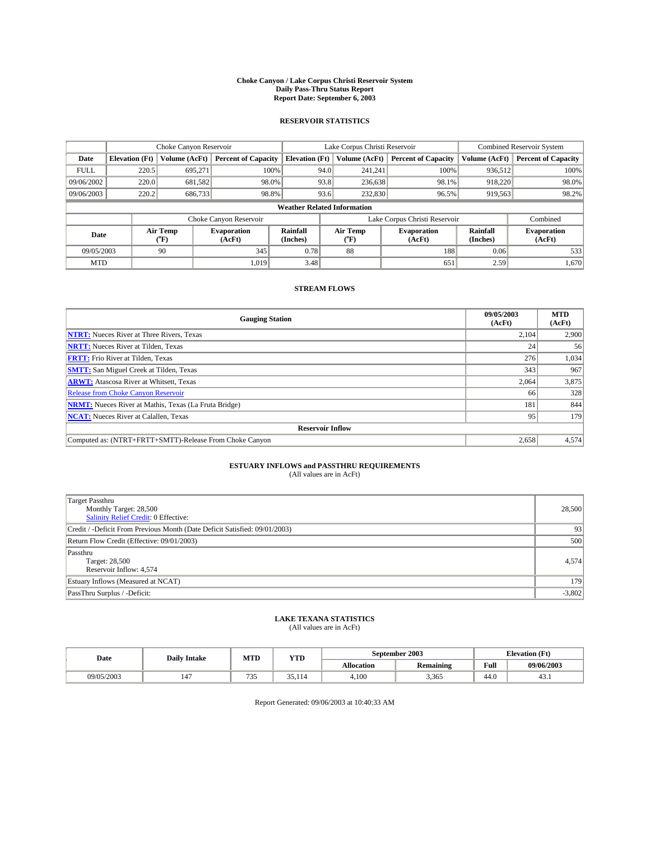#### **Choke Canyon / Lake Corpus Christi Reservoir System Daily Pass-Thru Status Report Report Date: September 6, 2003**

### **RESERVOIR STATISTICS**

|             |                                    |                                                                                                                                                             | Lake Corpus Christi Reservoir |                              |                               |               | <b>Combined Reservoir System</b> |               |                            |
|-------------|------------------------------------|-------------------------------------------------------------------------------------------------------------------------------------------------------------|-------------------------------|------------------------------|-------------------------------|---------------|----------------------------------|---------------|----------------------------|
| Date        | <b>Elevation</b> (Ft)              | <b>Volume (AcFt)</b>                                                                                                                                        | <b>Percent of Capacity</b>    | <b>Elevation</b> (Ft)        |                               | Volume (AcFt) | <b>Percent of Capacity</b>       | Volume (AcFt) | <b>Percent of Capacity</b> |
| <b>FULL</b> | 220.5                              | 695.271                                                                                                                                                     |                               | 100%                         | 94.0                          | 241,241       | 100%                             | 936,512       | 100%                       |
| 09/06/2002  | 220.0                              | 681,582                                                                                                                                                     | 98.0%                         |                              | 93.8                          | 236,638       | 98.1%                            | 918,220       | 98.0%                      |
| 09/06/2003  | 220.2                              | 686,733                                                                                                                                                     | 98.8%                         |                              | 93.6                          | 232,830       | 96.5%                            | 919,563       | 98.2%                      |
|             | <b>Weather Related Information</b> |                                                                                                                                                             |                               |                              |                               |               |                                  |               |                            |
|             |                                    |                                                                                                                                                             | Choke Canyon Reservoir        |                              | Lake Corpus Christi Reservoir |               |                                  |               | Combined                   |
| Date        |                                    | <b>Rainfall</b><br>Air Temp<br>Air Temp<br>Rainfall<br><b>Evaporation</b><br><b>Evaporation</b><br>(°F)<br>(AcFt)<br>(Inches)<br>(AcFt)<br>(Inches)<br>("F) |                               | <b>Evaporation</b><br>(AcFt) |                               |               |                                  |               |                            |
| 09/05/2003  |                                    | 90                                                                                                                                                          | 345                           | 0.78                         |                               | 88            | 188                              | 0.06          | 533                        |
| <b>MTD</b>  |                                    |                                                                                                                                                             | 1,019                         | 3.48                         |                               |               | 651                              | 2.59          | 1,670                      |

## **STREAM FLOWS**

| <b>Gauging Station</b>                                       | 09/05/2003<br>(AcFt) | <b>MTD</b><br>(AcFt) |
|--------------------------------------------------------------|----------------------|----------------------|
| <b>NTRT:</b> Nueces River at Three Rivers, Texas             | 2,104                | 2,900                |
| <b>NRTT:</b> Nueces River at Tilden, Texas                   | 24                   | 56                   |
| <b>FRTT:</b> Frio River at Tilden, Texas                     | 276                  | 1,034                |
| <b>SMTT:</b> San Miguel Creek at Tilden, Texas               | 343                  | 967                  |
| <b>ARWT:</b> Atascosa River at Whitsett, Texas               | 2,064                | 3,875                |
| <b>Release from Choke Canyon Reservoir</b>                   | 66                   | 328                  |
| <b>NRMT:</b> Nueces River at Mathis, Texas (La Fruta Bridge) | 181                  | 844                  |
| <b>NCAT:</b> Nueces River at Calallen, Texas                 | 95                   | 179                  |
| <b>Reservoir Inflow</b>                                      |                      |                      |
| Computed as: (NTRT+FRTT+SMTT)-Release From Choke Canyon      | 2,658                | 4,574                |

## **ESTUARY INFLOWS and PASSTHRU REQUIREMENTS**<br>(All values are in AcFt)

| <b>Target Passthru</b><br>Monthly Target: 28,500<br>Salinity Relief Credit: 0 Effective: | 28,500   |
|------------------------------------------------------------------------------------------|----------|
| Credit / -Deficit From Previous Month (Date Deficit Satisfied: 09/01/2003)               | 93       |
| Return Flow Credit (Effective: 09/01/2003)                                               | 500      |
| Passthru<br>Target: 28,500<br>Reservoir Inflow: 4,574                                    | 4,574    |
| Estuary Inflows (Measured at NCAT)                                                       | 179      |
| PassThru Surplus / -Deficit:                                                             | $-3,802$ |

# **LAKE TEXANA STATISTICS** (All values are in AcFt)

| Date       | <b>Daily Intake</b> | MTD         | <b>YTD</b> |                   | September 2003   | <b>Elevation</b> (Ft) |            |
|------------|---------------------|-------------|------------|-------------------|------------------|-----------------------|------------|
|            |                     |             |            | <b>Allocation</b> | <b>Remaining</b> | Full                  | 09/06/2003 |
| 09/05/2003 | 147                 | $\sim$<br>. | 35,114     | 4.100             | 3,365            | 44.v                  | 45.1       |

Report Generated: 09/06/2003 at 10:40:33 AM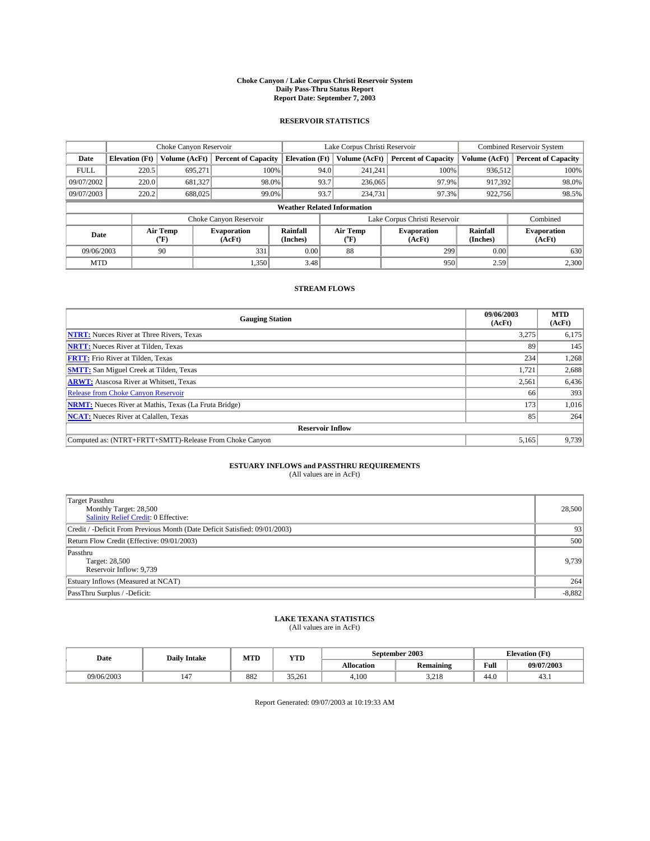#### **Choke Canyon / Lake Corpus Christi Reservoir System Daily Pass-Thru Status Report Report Date: September 7, 2003**

### **RESERVOIR STATISTICS**

|             | Choke Canyon Reservoir                                                                                                       |               | Lake Corpus Christi Reservoir |                              |                               |               | <b>Combined Reservoir System</b> |               |                            |
|-------------|------------------------------------------------------------------------------------------------------------------------------|---------------|-------------------------------|------------------------------|-------------------------------|---------------|----------------------------------|---------------|----------------------------|
| Date        | <b>Elevation</b> (Ft)                                                                                                        | Volume (AcFt) | <b>Percent of Capacity</b>    | <b>Elevation (Ft)</b>        |                               | Volume (AcFt) | <b>Percent of Capacity</b>       | Volume (AcFt) | <b>Percent of Capacity</b> |
| <b>FULL</b> | 220.5                                                                                                                        | 695,271       | 100%                          |                              | 94.0                          | 241,241       | 100%                             | 936.512       | 100%                       |
| 09/07/2002  | 220.0                                                                                                                        | 681,327       | 98.0%                         |                              | 93.7                          | 236,065       | 97.9%                            | 917.392       | 98.0%                      |
| 09/07/2003  | 220.2                                                                                                                        | 688,025       | 99.0%                         | 93.7                         |                               | 234,731       | 97.3%                            | 922,756       | 98.5%                      |
|             | <b>Weather Related Information</b>                                                                                           |               |                               |                              |                               |               |                                  |               |                            |
|             |                                                                                                                              |               | Choke Canyon Reservoir        |                              | Lake Corpus Christi Reservoir |               |                                  |               | Combined                   |
| Date        | Air Temp<br>Rainfall<br>Air Temp<br><b>Evaporation</b><br><b>Evaporation</b><br>(Inches)<br>(°F)<br>(AcFt)<br>(AcFt)<br>("F) |               | Rainfall<br>(Inches)          | <b>Evaporation</b><br>(AcFt) |                               |               |                                  |               |                            |
| 09/06/2003  |                                                                                                                              | 90            | 331                           | 0.00                         |                               | 88            | 299                              | 0.00          | 630                        |
| <b>MTD</b>  |                                                                                                                              |               | 1,350                         | 3.48                         |                               |               | 950                              | 2.59          | 2,300                      |

## **STREAM FLOWS**

| <b>Gauging Station</b>                                       | 09/06/2003<br>(AcFt) | <b>MTD</b><br>(AcFt) |
|--------------------------------------------------------------|----------------------|----------------------|
| <b>NTRT:</b> Nueces River at Three Rivers, Texas             | 3,275                | 6,175                |
| <b>NRTT:</b> Nueces River at Tilden, Texas                   | 89                   | 145                  |
| <b>FRTT:</b> Frio River at Tilden, Texas                     | 234                  | 1,268                |
| <b>SMTT:</b> San Miguel Creek at Tilden, Texas               | 1,721                | 2,688                |
| <b>ARWT:</b> Atascosa River at Whitsett, Texas               | 2,561                | 6,436                |
| <b>Release from Choke Canyon Reservoir</b>                   | 66                   | 393                  |
| <b>NRMT:</b> Nueces River at Mathis, Texas (La Fruta Bridge) | 173                  | 1,016                |
| <b>NCAT:</b> Nueces River at Calallen, Texas                 | 85                   | 264                  |
| <b>Reservoir Inflow</b>                                      |                      |                      |
| Computed as: (NTRT+FRTT+SMTT)-Release From Choke Canyon      | 5,165                | 9,739                |

## **ESTUARY INFLOWS and PASSTHRU REQUIREMENTS**<br>(All values are in AcFt)

| Target Passthru<br>Monthly Target: 28,500<br>Salinity Relief Credit: 0 Effective: | 28,500   |
|-----------------------------------------------------------------------------------|----------|
| Credit / -Deficit From Previous Month (Date Deficit Satisfied: 09/01/2003)        | 93       |
| Return Flow Credit (Effective: 09/01/2003)                                        | 500      |
| Passthru<br>Target: 28,500<br>Reservoir Inflow: 9,739                             | 9,739    |
| Estuary Inflows (Measured at NCAT)                                                | 264      |
| PassThru Surplus / -Deficit:                                                      | $-8,882$ |

# **LAKE TEXANA STATISTICS** (All values are in AcFt)

| Date       | <b>Daily Intake</b>  | MTD | <b>YTD</b> |                   | September 2003   | <b>Elevation</b> (Ft) |            |
|------------|----------------------|-----|------------|-------------------|------------------|-----------------------|------------|
|            |                      |     |            | <b>Allocation</b> | <b>Remaining</b> | Full                  | 09/07/2003 |
| 09/06/2003 | $\overline{A}$<br>14 | 882 | 35.261     | 4.100             | 210<br>3.41 O    | 44.0                  | 45.1       |

Report Generated: 09/07/2003 at 10:19:33 AM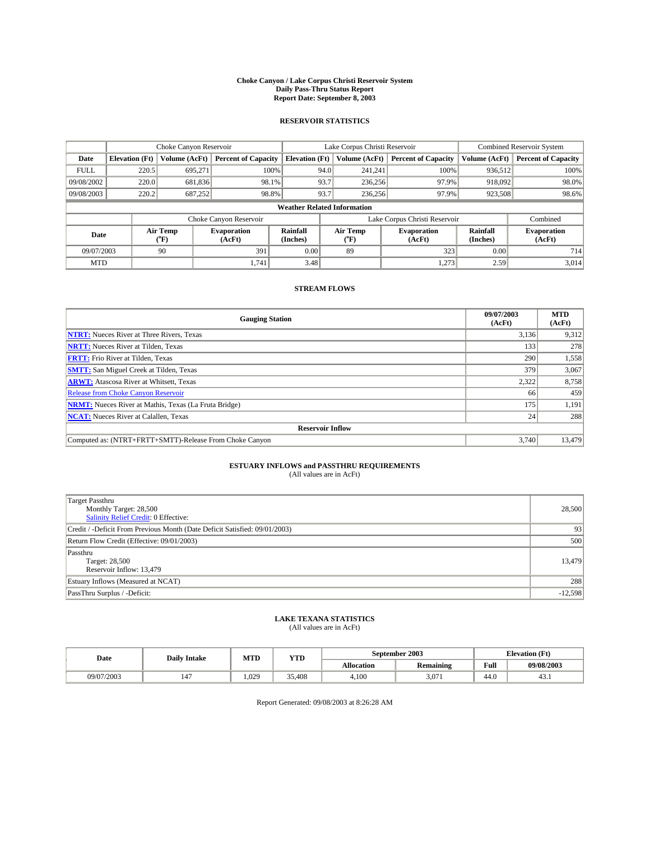#### **Choke Canyon / Lake Corpus Christi Reservoir System Daily Pass-Thru Status Report Report Date: September 8, 2003**

### **RESERVOIR STATISTICS**

|             | Choke Canyon Reservoir                                                                                                               |                      | Lake Corpus Christi Reservoir |                              |                                    |         | <b>Combined Reservoir System</b> |               |                            |
|-------------|--------------------------------------------------------------------------------------------------------------------------------------|----------------------|-------------------------------|------------------------------|------------------------------------|---------|----------------------------------|---------------|----------------------------|
| Date        | <b>Elevation</b> (Ft)                                                                                                                | <b>Volume (AcFt)</b> | <b>Percent of Capacity</b>    | <b>Elevation</b> (Ft)        | Volume (AcFt)                      |         | <b>Percent of Capacity</b>       | Volume (AcFt) | <b>Percent of Capacity</b> |
| <b>FULL</b> | 220.5                                                                                                                                | 695,271              | 100%                          |                              | 94.0                               | 241,241 | 100%                             | 936.512       | 100%                       |
| 09/08/2002  | 220.0                                                                                                                                | 681,836              | 98.1%                         |                              | 93.7                               | 236,256 | 97.9%                            | 918,092       | 98.0%                      |
| 09/08/2003  | 220.2                                                                                                                                | 687.252              | 98.8%                         |                              | 93.7                               | 236.256 | 97.9%                            | 923,508       | 98.6%                      |
|             |                                                                                                                                      |                      |                               |                              | <b>Weather Related Information</b> |         |                                  |               |                            |
|             |                                                                                                                                      |                      | Choke Canyon Reservoir        |                              | Lake Corpus Christi Reservoir      |         |                                  |               | Combined                   |
|             | Air Temp<br>Rainfall<br>Air Temp<br><b>Evaporation</b><br><b>Evaporation</b><br>Date<br>(Inches)<br>(AcFt)<br>(°F)<br>(AcFt)<br>("F) |                      | Rainfall<br>(Inches)          | <b>Evaporation</b><br>(AcFt) |                                    |         |                                  |               |                            |
| 09/07/2003  |                                                                                                                                      | 90                   | 391                           | 0.00                         | 89                                 |         | 323                              | 0.00          | 714                        |
| <b>MTD</b>  |                                                                                                                                      |                      | 1.741                         | 3.48                         |                                    |         | 1,273                            | 2.59          | 3,014                      |

## **STREAM FLOWS**

| <b>Gauging Station</b>                                       | 09/07/2003<br>(AcFt) | <b>MTD</b><br>(AcFt) |
|--------------------------------------------------------------|----------------------|----------------------|
| <b>NTRT:</b> Nueces River at Three Rivers, Texas             | 3,136                | 9,312                |
| <b>NRTT:</b> Nueces River at Tilden, Texas                   | 133                  | 278                  |
| <b>FRTT:</b> Frio River at Tilden, Texas                     | 290                  | 1,558                |
| <b>SMTT:</b> San Miguel Creek at Tilden, Texas               | 379                  | 3,067                |
| <b>ARWT:</b> Atascosa River at Whitsett, Texas               | 2,322                | 8,758                |
| Release from Choke Canyon Reservoir                          | 66                   | 459                  |
| <b>NRMT:</b> Nueces River at Mathis, Texas (La Fruta Bridge) | 175                  | 1,191                |
| <b>NCAT:</b> Nueces River at Calallen, Texas                 | 24                   | 288                  |
| <b>Reservoir Inflow</b>                                      |                      |                      |
| Computed as: (NTRT+FRTT+SMTT)-Release From Choke Canyon      | 3.740                | 13.479               |

# **ESTUARY INFLOWS and PASSTHRU REQUIREMENTS**<br>(All values are in AcFt)

| <b>Target Passthru</b><br>Monthly Target: 28,500<br>Salinity Relief Credit: 0 Effective: | 28,500    |
|------------------------------------------------------------------------------------------|-----------|
| Credit / -Deficit From Previous Month (Date Deficit Satisfied: 09/01/2003)               | 93        |
| Return Flow Credit (Effective: 09/01/2003)                                               | 500       |
| Passthru<br>Target: 28,500<br>Reservoir Inflow: 13,479                                   | 13,479    |
| Estuary Inflows (Measured at NCAT)                                                       | 288       |
| PassThru Surplus / -Deficit:                                                             | $-12,598$ |

# **LAKE TEXANA STATISTICS** (All values are in AcFt)

| Date       | <b>Daily Intake</b> | MTD   | <b>YTD</b> |                   | September 2003   | <b>Elevation</b> (Ft) |            |
|------------|---------------------|-------|------------|-------------------|------------------|-----------------------|------------|
|            |                     |       |            | <b>Allocation</b> | <b>Remaining</b> | Full                  | 09/08/2003 |
| 09/07/2003 | 147                 | 1.029 | 35.408     | 4.100             | 3.071            | 44.U                  | 45.1       |

Report Generated: 09/08/2003 at 8:26:28 AM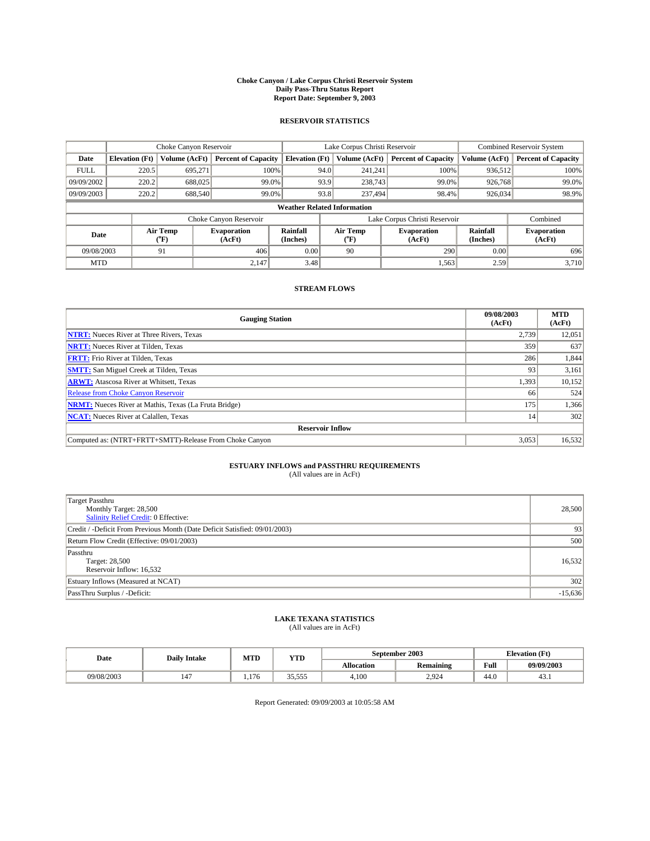#### **Choke Canyon / Lake Corpus Christi Reservoir System Daily Pass-Thru Status Report Report Date: September 9, 2003**

### **RESERVOIR STATISTICS**

|             | Choke Canyon Reservoir             |                             | Lake Corpus Christi Reservoir |                             |                               |                  | <b>Combined Reservoir System</b> |                             |                              |
|-------------|------------------------------------|-----------------------------|-------------------------------|-----------------------------|-------------------------------|------------------|----------------------------------|-----------------------------|------------------------------|
| Date        | <b>Elevation</b> (Ft)              | Volume (AcFt)               | <b>Percent of Capacity</b>    | <b>Elevation</b> (Ft)       |                               | Volume (AcFt)    | <b>Percent of Capacity</b>       | Volume (AcFt)               | <b>Percent of Capacity</b>   |
| <b>FULL</b> | 220.5                              | 695,271                     |                               | 100%                        | 94.0                          | 241,241          | 100%                             | 936.512                     | 100%                         |
| 09/09/2002  | 220.2                              | 688,025                     | $99.0\%$                      |                             | 93.9                          | 238,743          | 99.0%                            | 926,768                     | 99.0%                        |
| 09/09/2003  | 220.2                              | 688,540                     | 99.0%                         |                             | 93.8                          |                  | 237,494<br>98.4%                 | 926,034                     | 98.9%                        |
|             | <b>Weather Related Information</b> |                             |                               |                             |                               |                  |                                  |                             |                              |
|             |                                    |                             | Choke Canyon Reservoir        |                             | Lake Corpus Christi Reservoir |                  |                                  |                             | Combined                     |
| Date        |                                    | Air Temp<br>${}^{\circ}$ F) | <b>Evaporation</b><br>(AcFt)  | <b>Rainfall</b><br>(Inches) |                               | Air Temp<br>("F) | <b>Evaporation</b><br>(AcFt)     | <b>Rainfall</b><br>(Inches) | <b>Evaporation</b><br>(AcFt) |
| 09/08/2003  |                                    | 91                          | 406                           | 0.00                        |                               | 90               | 290                              | 0.00                        | 696                          |
| <b>MTD</b>  |                                    |                             | 2,147                         | 3.48                        |                               |                  | 1,563                            | 2.59                        | 3,710                        |

## **STREAM FLOWS**

| <b>Gauging Station</b>                                       | 09/08/2003<br>(AcFt) | <b>MTD</b><br>(AcFt) |
|--------------------------------------------------------------|----------------------|----------------------|
| <b>NTRT:</b> Nueces River at Three Rivers, Texas             | 2,739                | 12,051               |
| <b>NRTT:</b> Nueces River at Tilden, Texas                   | 359                  | 637                  |
| <b>FRTT:</b> Frio River at Tilden, Texas                     | 286                  | 1,844                |
| <b>SMTT:</b> San Miguel Creek at Tilden, Texas               | 93                   | 3,161                |
| <b>ARWT:</b> Atascosa River at Whitsett, Texas               | 1,393                | 10,152               |
| <b>Release from Choke Canyon Reservoir</b>                   | 66                   | 524                  |
| <b>NRMT:</b> Nueces River at Mathis, Texas (La Fruta Bridge) | 175                  | 1,366                |
| <b>NCAT:</b> Nueces River at Calallen, Texas                 | 14                   | 302                  |
| <b>Reservoir Inflow</b>                                      |                      |                      |
| Computed as: (NTRT+FRTT+SMTT)-Release From Choke Canyon      | 3,053                | 16,532               |

## **ESTUARY INFLOWS and PASSTHRU REQUIREMENTS**<br>(All values are in AcFt)

| <b>Target Passthru</b><br>Monthly Target: 28,500<br>Salinity Relief Credit: 0 Effective: | 28,500    |
|------------------------------------------------------------------------------------------|-----------|
| Credit / -Deficit From Previous Month (Date Deficit Satisfied: 09/01/2003)               | 93        |
| Return Flow Credit (Effective: 09/01/2003)                                               | 500       |
| Passthru<br>Target: 28,500<br>Reservoir Inflow: 16,532                                   | 16,532    |
| Estuary Inflows (Measured at NCAT)                                                       | 302       |
| PassThru Surplus / -Deficit:                                                             | $-15,636$ |

# **LAKE TEXANA STATISTICS** (All values are in AcFt)

| Date       | <b>Daily Intake</b> | MTD   | <b>YTD</b>                      |                   | September 2003   | <b>Elevation</b> (Ft) |            |
|------------|---------------------|-------|---------------------------------|-------------------|------------------|-----------------------|------------|
|            |                     |       |                                 | <b>Allocation</b> | <b>Remaining</b> | Full                  | 09/09/2003 |
| 09/08/2003 | 147                 | 1.176 | $\sim$<br>---<br>551<br><i></i> | 4,100             | 2.924            | $\sim$<br>44.0        | 45.1       |

Report Generated: 09/09/2003 at 10:05:58 AM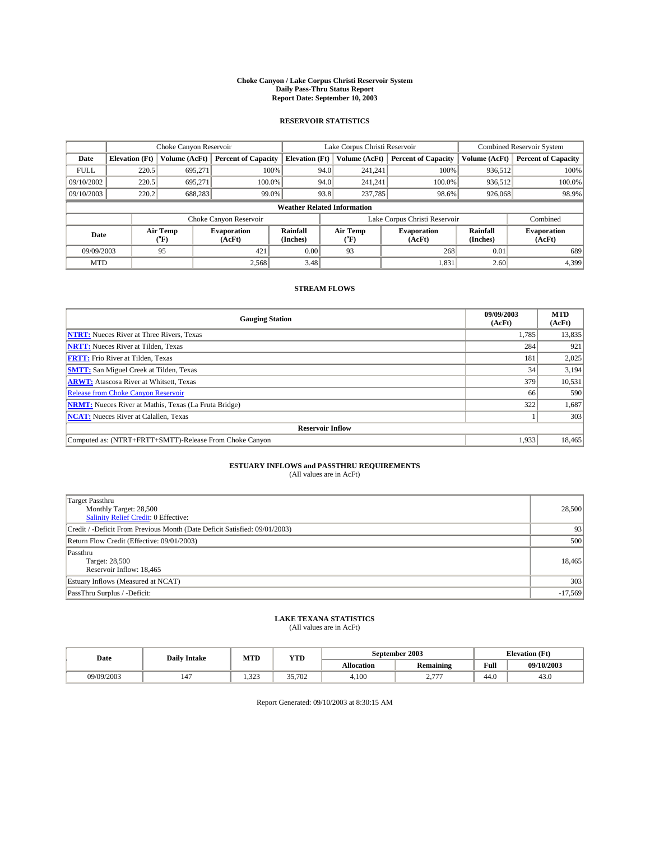#### **Choke Canyon / Lake Corpus Christi Reservoir System Daily Pass-Thru Status Report Report Date: September 10, 2003**

### **RESERVOIR STATISTICS**

|             | Choke Canyon Reservoir             |               | Lake Corpus Christi Reservoir |                       |                               |                  | <b>Combined Reservoir System</b> |                      |                              |  |
|-------------|------------------------------------|---------------|-------------------------------|-----------------------|-------------------------------|------------------|----------------------------------|----------------------|------------------------------|--|
| Date        | <b>Elevation</b> (Ft)              | Volume (AcFt) | <b>Percent of Capacity</b>    | <b>Elevation (Ft)</b> |                               | Volume (AcFt)    | <b>Percent of Capacity</b>       | Volume (AcFt)        | <b>Percent of Capacity</b>   |  |
| <b>FULL</b> | 220.5                              | 695,271       | 100%                          |                       | 94.0                          | 241,241          | 100%                             | 936.512              | 100%                         |  |
| 09/10/2002  | 220.5                              | 695.271       | $100.0\%$                     |                       | 94.0                          | 241.241          | $100.0\%$                        | 936.512              | 100.0%                       |  |
| 09/10/2003  | 220.2                              | 688,283       | 99.0%                         |                       | 93.8                          | 237,785          | 98.6%                            | 926,068              | 98.9%                        |  |
|             | <b>Weather Related Information</b> |               |                               |                       |                               |                  |                                  |                      |                              |  |
|             |                                    |               | Choke Canyon Reservoir        |                       | Lake Corpus Christi Reservoir |                  |                                  | Combined             |                              |  |
|             | Air Temp<br>Date<br>(°F)           |               | <b>Evaporation</b><br>(AcFt)  | Rainfall<br>(Inches)  |                               | Air Temp<br>("F) | <b>Evaporation</b><br>(AcFt)     | Rainfall<br>(Inches) | <b>Evaporation</b><br>(AcFt) |  |
| 09/09/2003  |                                    | 95            | 421                           | 0.00                  |                               | 93               | 268                              | 0.01                 | 689                          |  |
| <b>MTD</b>  |                                    |               | 2,568                         | 3.48                  |                               |                  | 1,831                            | 2.60                 | 4,399                        |  |

## **STREAM FLOWS**

| <b>Gauging Station</b>                                       | 09/09/2003<br>(AcFt) | <b>MTD</b><br>(AcFt) |
|--------------------------------------------------------------|----------------------|----------------------|
| <b>NTRT:</b> Nueces River at Three Rivers, Texas             | 1,785                | 13,835               |
| <b>NRTT:</b> Nueces River at Tilden, Texas                   | 284                  | 921                  |
| <b>FRTT:</b> Frio River at Tilden, Texas                     | 181                  | 2,025                |
| <b>SMTT:</b> San Miguel Creek at Tilden, Texas               | 34                   | 3,194                |
| <b>ARWT:</b> Atascosa River at Whitsett, Texas               | 379                  | 10,531               |
| Release from Choke Canyon Reservoir                          | 66                   | 590                  |
| <b>NRMT:</b> Nueces River at Mathis, Texas (La Fruta Bridge) | 322                  | 1,687                |
| <b>NCAT:</b> Nueces River at Calallen, Texas                 |                      | 303                  |
| <b>Reservoir Inflow</b>                                      |                      |                      |
| Computed as: (NTRT+FRTT+SMTT)-Release From Choke Canyon      | 1.933                | 18,465               |

# **ESTUARY INFLOWS and PASSTHRU REQUIREMENTS**<br>(All values are in AcFt)

| <b>Target Passthru</b><br>Monthly Target: 28,500<br>Salinity Relief Credit: 0 Effective: | 28,500    |
|------------------------------------------------------------------------------------------|-----------|
| Credit / -Deficit From Previous Month (Date Deficit Satisfied: 09/01/2003)               | 93        |
| Return Flow Credit (Effective: 09/01/2003)                                               | 500       |
| Passthru<br>Target: 28,500<br>Reservoir Inflow: 18,465                                   | 18,465    |
| Estuary Inflows (Measured at NCAT)                                                       | 303       |
| PassThru Surplus / -Deficit:                                                             | $-17,569$ |

# **LAKE TEXANA STATISTICS** (All values are in AcFt)

| Date       | <b>Daily Intake</b> | MTD   | <b>YTD</b> |                   | September 2003   |      | <b>Elevation</b> (Ft) |  |
|------------|---------------------|-------|------------|-------------------|------------------|------|-----------------------|--|
|            |                     |       |            | <b>Allocation</b> | <b>Remaining</b> | Full | 09/10/2003            |  |
| 09/09/2003 | 147                 | 1.323 | 35,702     | 4.100             | $- - -$<br>، ، ، | 44.v | 45.U                  |  |

Report Generated: 09/10/2003 at 8:30:15 AM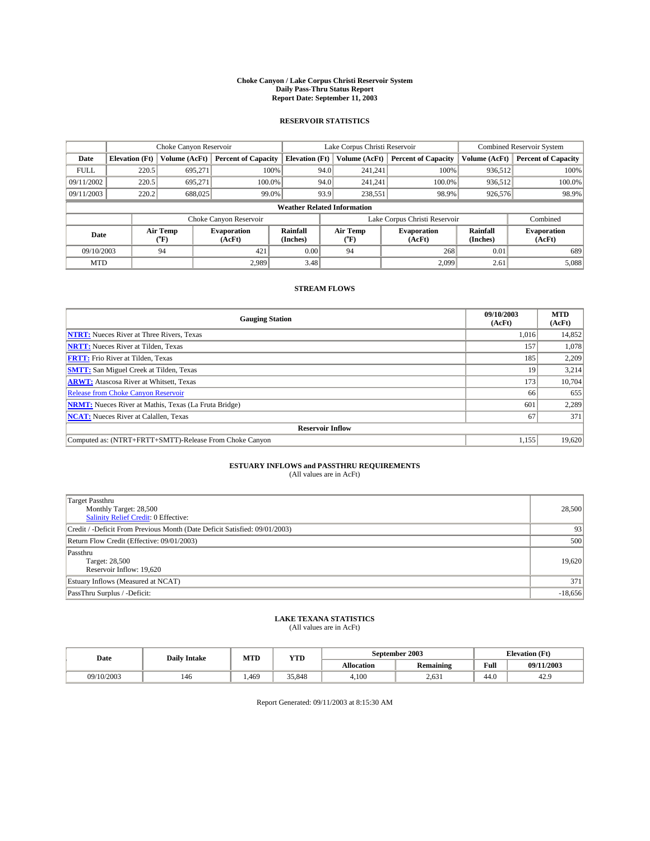#### **Choke Canyon / Lake Corpus Christi Reservoir System Daily Pass-Thru Status Report Report Date: September 11, 2003**

### **RESERVOIR STATISTICS**

|             | Choke Canyon Reservoir             |               | Lake Corpus Christi Reservoir |                       |                               |                  | <b>Combined Reservoir System</b> |                      |                              |
|-------------|------------------------------------|---------------|-------------------------------|-----------------------|-------------------------------|------------------|----------------------------------|----------------------|------------------------------|
| Date        | <b>Elevation</b> (Ft)              | Volume (AcFt) | <b>Percent of Capacity</b>    | <b>Elevation (Ft)</b> |                               | Volume (AcFt)    | <b>Percent of Capacity</b>       | Volume (AcFt)        | <b>Percent of Capacity</b>   |
| <b>FULL</b> | 220.5                              | 695,271       |                               | 100%                  | 94.0                          | 241,241          | 100%                             | 936.512              | 100%                         |
| 09/11/2002  | 220.5                              | 695.271       | $100.0\%$                     |                       | 94.0                          | 241.241          | $100.0\%$                        | 936.512              | 100.0%                       |
| 09/11/2003  | 220.2                              | 688,025       | 99.0%                         |                       | 93.9                          |                  | 98.9%<br>238,551                 | 926,576              | 98.9%                        |
|             | <b>Weather Related Information</b> |               |                               |                       |                               |                  |                                  |                      |                              |
|             |                                    |               | Choke Canyon Reservoir        |                       | Lake Corpus Christi Reservoir |                  |                                  | Combined             |                              |
|             | Air Temp<br>Date                   |               | <b>Evaporation</b><br>(AcFt)  | Rainfall<br>(Inches)  |                               | Air Temp<br>("F) | <b>Evaporation</b><br>(AcFt)     | Rainfall<br>(Inches) | <b>Evaporation</b><br>(AcFt) |
| 09/10/2003  |                                    | 94            | 421                           | 0.00                  |                               | 94               | 268                              | 0.01                 | 689                          |
| <b>MTD</b>  |                                    |               | 2.989                         | 3.48                  |                               |                  | 2,099                            | 2.61                 | 5,088                        |

## **STREAM FLOWS**

| <b>Gauging Station</b>                                       | 09/10/2003<br>(AcFt) | <b>MTD</b><br>(AcFt) |
|--------------------------------------------------------------|----------------------|----------------------|
| <b>NTRT:</b> Nueces River at Three Rivers, Texas             | 1,016                | 14,852               |
| <b>NRTT:</b> Nueces River at Tilden, Texas                   | 157                  | 1,078                |
| <b>FRTT:</b> Frio River at Tilden, Texas                     | 185                  | 2,209                |
| <b>SMTT:</b> San Miguel Creek at Tilden, Texas               | 19                   | 3,214                |
| <b>ARWT:</b> Atascosa River at Whitsett, Texas               | 173                  | 10,704               |
| <b>Release from Choke Canyon Reservoir</b>                   | 66                   | 655                  |
| <b>NRMT:</b> Nueces River at Mathis, Texas (La Fruta Bridge) | 601                  | 2,289                |
| <b>NCAT:</b> Nueces River at Calallen, Texas                 | 67                   | 371                  |
| <b>Reservoir Inflow</b>                                      |                      |                      |
| Computed as: (NTRT+FRTT+SMTT)-Release From Choke Canyon      | 1,155                | 19,620               |

## **ESTUARY INFLOWS and PASSTHRU REQUIREMENTS**

(All values are in AcFt)

| <b>Target Passthru</b><br>Monthly Target: 28,500<br>Salinity Relief Credit: 0 Effective: | 28,500    |
|------------------------------------------------------------------------------------------|-----------|
| Credit / -Deficit From Previous Month (Date Deficit Satisfied: 09/01/2003)               | 93        |
| Return Flow Credit (Effective: 09/01/2003)                                               | 500       |
| Passthru<br>Target: 28,500<br>Reservoir Inflow: 19,620                                   | 19,620    |
| Estuary Inflows (Measured at NCAT)                                                       | 371       |
| PassThru Surplus / -Deficit:                                                             | $-18,656$ |

# **LAKE TEXANA STATISTICS** (All values are in AcFt)

| Date       | <b>Daily Intake</b> | MTD   | YTD    |                   | September 2003   | <b>Elevation</b> (Ft) |             |  |
|------------|---------------------|-------|--------|-------------------|------------------|-----------------------|-------------|--|
|            |                     |       |        | <b>Allocation</b> | <b>Remaining</b> | Full                  | 09/11/2003  |  |
| 09/10/2003 | ،46                 | 1,469 | 35.848 | 4.100             | 2.631            | 44.0                  | ۰ ^<br>44.5 |  |

Report Generated: 09/11/2003 at 8:15:30 AM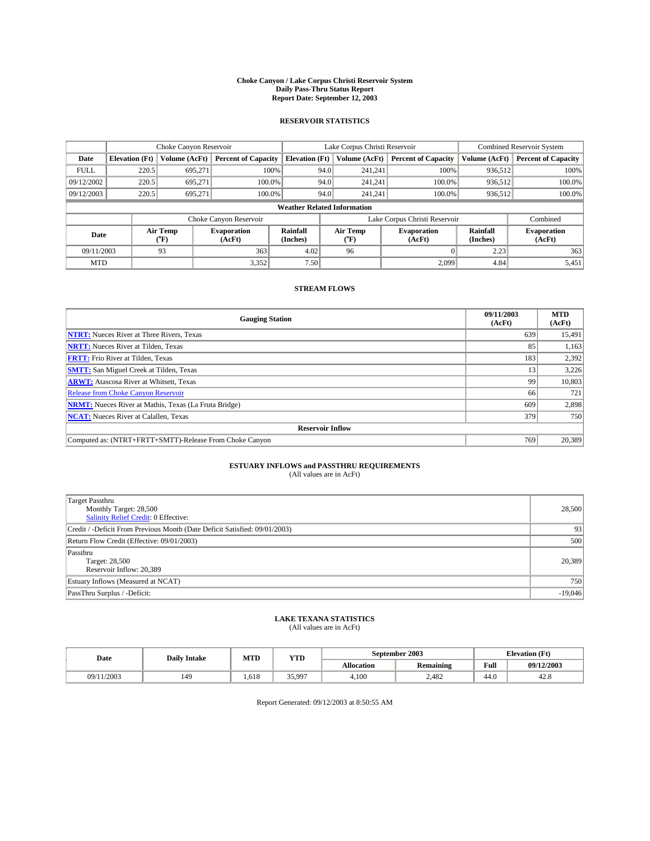#### **Choke Canyon / Lake Corpus Christi Reservoir System Daily Pass-Thru Status Report Report Date: September 12, 2003**

### **RESERVOIR STATISTICS**

|                          | Choke Canyon Reservoir             |               | Lake Corpus Christi Reservoir |                       |                               |                  | <b>Combined Reservoir System</b> |                      |                              |  |
|--------------------------|------------------------------------|---------------|-------------------------------|-----------------------|-------------------------------|------------------|----------------------------------|----------------------|------------------------------|--|
| Date                     | <b>Elevation</b> (Ft)              | Volume (AcFt) | <b>Percent of Capacity</b>    | <b>Elevation</b> (Ft) |                               | Volume (AcFt)    | <b>Percent of Capacity</b>       | Volume (AcFt)        | <b>Percent of Capacity</b>   |  |
| <b>FULL</b>              | 220.5                              | 695,271       |                               | 100%                  | 94.0                          | 241,241          | 100%                             | 936.512              | 100%                         |  |
| 09/12/2002               | 220.5                              | 695.271       | $100.0\%$                     |                       | 94.0                          | 241.241          | 100.0%                           | 936.512              | 100.0%                       |  |
| 09/12/2003               | 220.5                              | 695.271       | 100.0%                        |                       | 94.0                          | 241.241          | 100.0%                           | 936,512              | 100.0%                       |  |
|                          | <b>Weather Related Information</b> |               |                               |                       |                               |                  |                                  |                      |                              |  |
|                          |                                    |               | Choke Canyon Reservoir        |                       | Lake Corpus Christi Reservoir |                  |                                  | Combined             |                              |  |
| Air Temp<br>Date<br>(°F) |                                    |               | <b>Evaporation</b><br>(AcFt)  | Rainfall<br>(Inches)  |                               | Air Temp<br>("F) | <b>Evaporation</b><br>(AcFt)     | Rainfall<br>(Inches) | <b>Evaporation</b><br>(AcFt) |  |
| 09/11/2003               |                                    | 93            | 363                           | 4.02                  |                               | 96               |                                  | 2.23                 | 363                          |  |
| <b>MTD</b>               |                                    |               | 3,352                         | 7.50                  |                               |                  | 2,099                            | 4.84                 | 5,451                        |  |

## **STREAM FLOWS**

| <b>Gauging Station</b>                                       | 09/11/2003<br>(AcFt) | <b>MTD</b><br>(AcFt) |
|--------------------------------------------------------------|----------------------|----------------------|
| <b>NTRT:</b> Nueces River at Three Rivers, Texas             | 639                  | 15,491               |
| <b>NRTT:</b> Nueces River at Tilden, Texas                   | 85                   | 1,163                |
| <b>FRTT:</b> Frio River at Tilden, Texas                     | 183                  | 2,392                |
| <b>SMTT:</b> San Miguel Creek at Tilden, Texas               | 13                   | 3,226                |
| <b>ARWT:</b> Atascosa River at Whitsett, Texas               | 99                   | 10,803               |
| Release from Choke Canyon Reservoir                          | 66                   | 721                  |
| <b>NRMT:</b> Nueces River at Mathis, Texas (La Fruta Bridge) | 609                  | 2,898                |
| <b>NCAT:</b> Nueces River at Calallen, Texas                 | 379                  | 750                  |
| <b>Reservoir Inflow</b>                                      |                      |                      |
| Computed as: (NTRT+FRTT+SMTT)-Release From Choke Canyon      | 769                  | 20,389               |

# **ESTUARY INFLOWS and PASSTHRU REQUIREMENTS**<br>(All values are in AcFt)

| <b>Target Passthru</b><br>Monthly Target: 28,500<br>Salinity Relief Credit: 0 Effective: | 28,500    |
|------------------------------------------------------------------------------------------|-----------|
| Credit / -Deficit From Previous Month (Date Deficit Satisfied: 09/01/2003)               | 93        |
| Return Flow Credit (Effective: 09/01/2003)                                               | 500       |
| Passthru<br>Target: 28,500<br>Reservoir Inflow: 20,389                                   | 20,389    |
| Estuary Inflows (Measured at NCAT)                                                       | 750       |
| PassThru Surplus / -Deficit:                                                             | $-19,046$ |

# **LAKE TEXANA STATISTICS** (All values are in AcFt)

| Date            | <b>Daily Intake</b> | MTD   | <b>YTD</b> |                   | September 2003   |                | <b>Elevation</b> (Ft) |  |
|-----------------|---------------------|-------|------------|-------------------|------------------|----------------|-----------------------|--|
|                 |                     |       |            | <b>Allocation</b> | <b>Remaining</b> | Full           | 09/12/2003            |  |
| /11/2003<br>JY, | 149                 | 1,618 | 35,997     | 4,100             | 2,482            | $\sim$<br>44.O | 42.G                  |  |

Report Generated: 09/12/2003 at 8:50:55 AM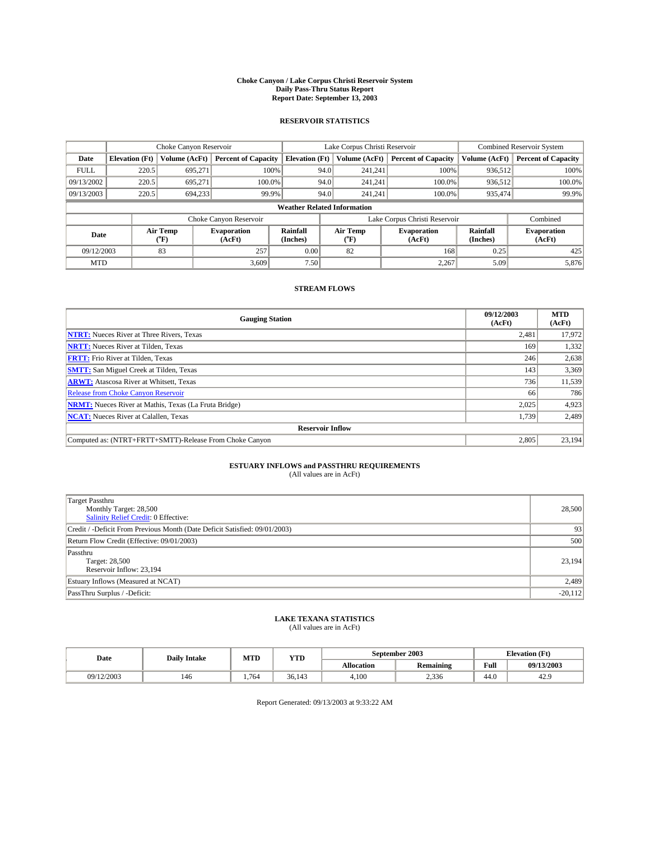#### **Choke Canyon / Lake Corpus Christi Reservoir System Daily Pass-Thru Status Report Report Date: September 13, 2003**

### **RESERVOIR STATISTICS**

|             | Choke Canyon Reservoir             |                  | Lake Corpus Christi Reservoir |                       |                               |                  | <b>Combined Reservoir System</b> |                      |                              |  |
|-------------|------------------------------------|------------------|-------------------------------|-----------------------|-------------------------------|------------------|----------------------------------|----------------------|------------------------------|--|
| Date        | <b>Elevation</b> (Ft)              | Volume (AcFt)    | <b>Percent of Capacity</b>    | <b>Elevation</b> (Ft) |                               | Volume (AcFt)    | <b>Percent of Capacity</b>       | Volume (AcFt)        | <b>Percent of Capacity</b>   |  |
| <b>FULL</b> | 220.5                              | 695,271          | 100%                          |                       | 94.0                          | 241,241          | 100%                             | 936.512              | 100%                         |  |
| 09/13/2002  | 220.5                              | 695.271          | $100.0\%$                     |                       | 94.0                          | 241.241          | 100.0%                           | 936.512              | 100.0%                       |  |
| 09/13/2003  | 220.5                              | 694,233          | 99.9%                         |                       | 94.0                          | 241.241          | 100.0%                           | 935,474              | 99.9%                        |  |
|             | <b>Weather Related Information</b> |                  |                               |                       |                               |                  |                                  |                      |                              |  |
|             |                                    |                  | Choke Canyon Reservoir        |                       | Lake Corpus Christi Reservoir |                  |                                  |                      | Combined                     |  |
| Date        |                                    | Air Temp<br>(°F) | <b>Evaporation</b><br>(AcFt)  | Rainfall<br>(Inches)  |                               | Air Temp<br>("F) | <b>Evaporation</b><br>(AcFt)     | Rainfall<br>(Inches) | <b>Evaporation</b><br>(AcFt) |  |
| 09/12/2003  |                                    | 83               | 257                           | 0.00                  |                               | 82               | 168                              | 0.25                 | 425                          |  |
| <b>MTD</b>  |                                    |                  | 3,609                         | 7.50                  |                               |                  | 2,267                            | 5.09                 | 5,876                        |  |

## **STREAM FLOWS**

| <b>Gauging Station</b>                                       | 09/12/2003<br>(AcFt) | <b>MTD</b><br>(AcFt) |
|--------------------------------------------------------------|----------------------|----------------------|
| <b>NTRT:</b> Nueces River at Three Rivers, Texas             | 2,481                | 17,972               |
| <b>NRTT:</b> Nueces River at Tilden, Texas                   | 169                  | 1,332                |
| <b>FRTT:</b> Frio River at Tilden, Texas                     | 246                  | 2,638                |
| <b>SMTT:</b> San Miguel Creek at Tilden, Texas               | 143                  | 3,369                |
| <b>ARWT:</b> Atascosa River at Whitsett, Texas               | 736                  | 11,539               |
| <b>Release from Choke Canyon Reservoir</b>                   | 66                   | 786                  |
| <b>NRMT:</b> Nueces River at Mathis, Texas (La Fruta Bridge) | 2,025                | 4,923                |
| <b>NCAT:</b> Nueces River at Calallen, Texas                 | 1,739                | 2,489                |
| <b>Reservoir Inflow</b>                                      |                      |                      |
| Computed as: (NTRT+FRTT+SMTT)-Release From Choke Canyon      | 2.805                | 23.194               |

## **ESTUARY INFLOWS and PASSTHRU REQUIREMENTS**<br>(All values are in AcFt)

| <b>Target Passthru</b><br>Monthly Target: 28,500<br>Salinity Relief Credit: 0 Effective: | 28,500    |
|------------------------------------------------------------------------------------------|-----------|
| Credit / -Deficit From Previous Month (Date Deficit Satisfied: 09/01/2003)               | 93        |
| Return Flow Credit (Effective: 09/01/2003)                                               | 500       |
| Passthru<br>Target: 28,500<br>Reservoir Inflow: 23,194                                   | 23,194    |
| Estuary Inflows (Measured at NCAT)                                                       | 2,489     |
| PassThru Surplus / -Deficit:                                                             | $-20,112$ |

# **LAKE TEXANA STATISTICS** (All values are in AcFt)

| Date     | <b>Daily Intake</b> | MTD  | VTT<br>1 L D |            | <b>September 2003</b> | <b>Elevation</b> (Ft) |            |
|----------|---------------------|------|--------------|------------|-----------------------|-----------------------|------------|
|          |                     |      |              | Allocation | <b>Remaining</b>      | Full                  | 09/13/2003 |
| /12/2003 | 146                 | .764 | 36.143       | 4.100      | 2,336                 | 44.0                  | 42.5       |

Report Generated: 09/13/2003 at 9:33:22 AM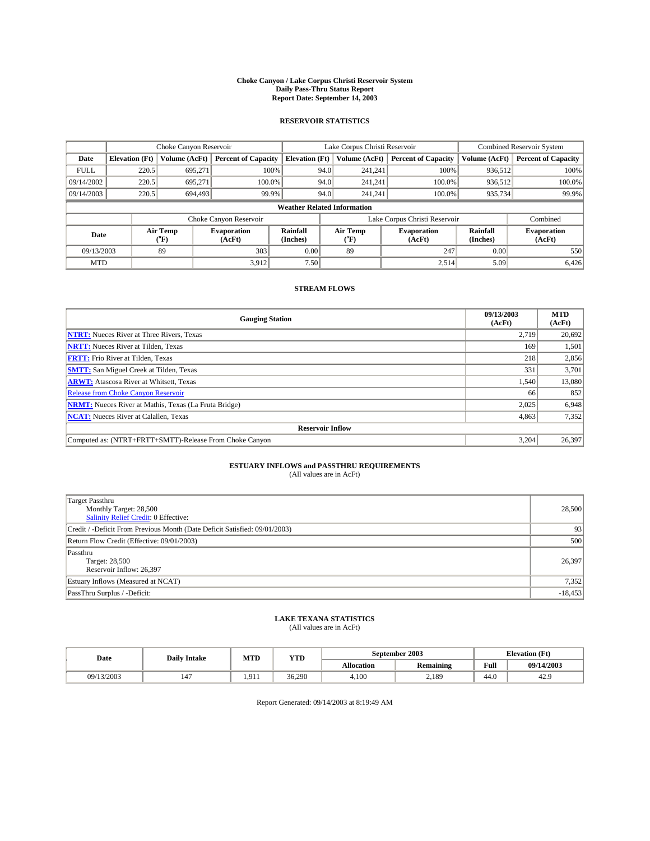#### **Choke Canyon / Lake Corpus Christi Reservoir System Daily Pass-Thru Status Report Report Date: September 14, 2003**

### **RESERVOIR STATISTICS**

|             | Choke Canyon Reservoir             |                  | Lake Corpus Christi Reservoir |                       |                               |                  | <b>Combined Reservoir System</b> |                      |                              |
|-------------|------------------------------------|------------------|-------------------------------|-----------------------|-------------------------------|------------------|----------------------------------|----------------------|------------------------------|
| Date        | <b>Elevation</b> (Ft)              | Volume (AcFt)    | <b>Percent of Capacity</b>    | <b>Elevation (Ft)</b> |                               | Volume (AcFt)    | <b>Percent of Capacity</b>       | Volume (AcFt)        | <b>Percent of Capacity</b>   |
| <b>FULL</b> | 220.5                              | 695,271          |                               | 100%                  | 94.0                          | 241,241          | 100%                             | 936.512              | 100%                         |
| 09/14/2002  | 220.5                              | 695.271          | $100.0\%$                     |                       | 94.0                          | 241.241          | $100.0\%$                        | 936,512              | 100.0%                       |
| 09/14/2003  | 220.5                              | 694,493          | 99.9%                         |                       | 94.0                          | 241,241          | $100.0\%$                        | 935,734              | 99.9%                        |
|             | <b>Weather Related Information</b> |                  |                               |                       |                               |                  |                                  |                      |                              |
|             |                                    |                  | Choke Canyon Reservoir        |                       | Lake Corpus Christi Reservoir |                  |                                  |                      | Combined                     |
| Date        |                                    | Air Temp<br>(°F) | <b>Evaporation</b><br>(AcFt)  | Rainfall<br>(Inches)  |                               | Air Temp<br>("F) | <b>Evaporation</b><br>(AcFt)     | Rainfall<br>(Inches) | <b>Evaporation</b><br>(AcFt) |
| 09/13/2003  |                                    | 89               | 303                           | 0.00                  |                               | 89               | 247                              | 0.00                 | 550                          |
| <b>MTD</b>  |                                    |                  | 3,912                         | 7.50                  |                               |                  | 2,514                            | 5.09                 | 6,426                        |

## **STREAM FLOWS**

| <b>Gauging Station</b>                                       | 09/13/2003<br>(AcFt) | <b>MTD</b><br>(AcFt) |
|--------------------------------------------------------------|----------------------|----------------------|
| <b>NTRT:</b> Nueces River at Three Rivers, Texas             | 2,719                | 20,692               |
| <b>NRTT:</b> Nueces River at Tilden, Texas                   | 169                  | 1,501                |
| <b>FRTT:</b> Frio River at Tilden, Texas                     | 218                  | 2,856                |
| <b>SMTT:</b> San Miguel Creek at Tilden, Texas               | 331                  | 3,701                |
| <b>ARWT:</b> Atascosa River at Whitsett, Texas               | 1,540                | 13,080               |
| <b>Release from Choke Canyon Reservoir</b>                   | 66                   | 852                  |
| <b>NRMT:</b> Nueces River at Mathis, Texas (La Fruta Bridge) | 2,025                | 6,948                |
| <b>NCAT:</b> Nueces River at Calallen, Texas                 | 4,863                | 7,352                |
| <b>Reservoir Inflow</b>                                      |                      |                      |
| Computed as: (NTRT+FRTT+SMTT)-Release From Choke Canyon      | 3.204                | 26,397               |

## **ESTUARY INFLOWS and PASSTHRU REQUIREMENTS**<br>(All values are in AcFt)

| <b>Target Passthru</b><br>Monthly Target: 28,500<br>Salinity Relief Credit: 0 Effective: | 28,500    |
|------------------------------------------------------------------------------------------|-----------|
| Credit / -Deficit From Previous Month (Date Deficit Satisfied: 09/01/2003)               | 93        |
| Return Flow Credit (Effective: 09/01/2003)                                               | 500       |
| Passthru<br>Target: 28,500<br>Reservoir Inflow: 26,397                                   | 26,397    |
| Estuary Inflows (Measured at NCAT)                                                       | 7,352     |
| PassThru Surplus / -Deficit:                                                             | $-18,453$ |

# **LAKE TEXANA STATISTICS** (All values are in AcFt)

| Date       | <b>Daily Intake</b> | MTD   | <b>YTD</b> |                   | September 2003   | <b>Elevation</b> (Ft) |            |
|------------|---------------------|-------|------------|-------------------|------------------|-----------------------|------------|
|            |                     |       |            | <b>Allocation</b> | <b>Remaining</b> | Full                  | 09/14/2003 |
| 09/13/2003 | 147                 | 1.911 | 36.290     | 4,100             | 2.189            | 44.U                  | 42.9       |

Report Generated: 09/14/2003 at 8:19:49 AM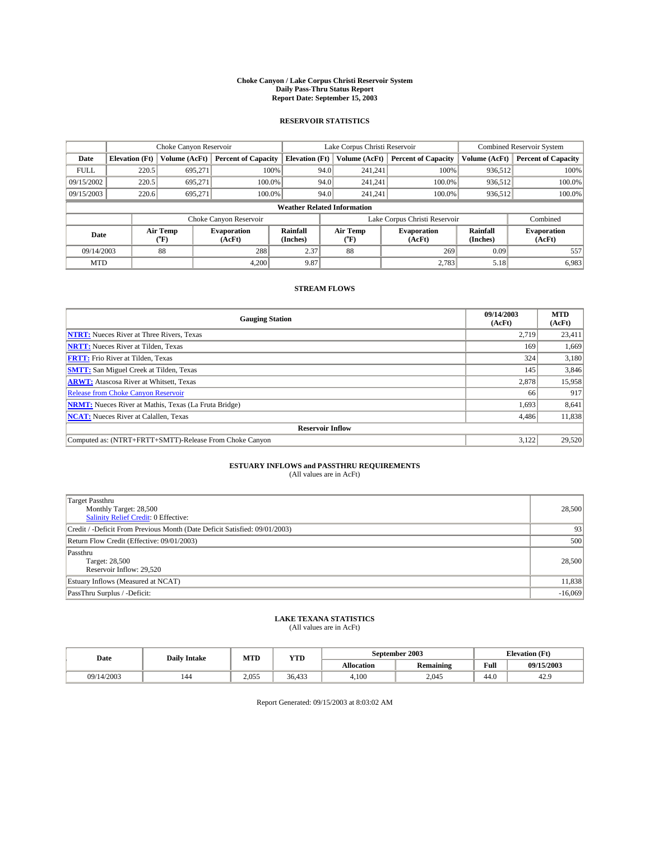#### **Choke Canyon / Lake Corpus Christi Reservoir System Daily Pass-Thru Status Report Report Date: September 15, 2003**

### **RESERVOIR STATISTICS**

|             | Choke Canyon Reservoir             |                  | Lake Corpus Christi Reservoir |                       |                               |                  | <b>Combined Reservoir System</b> |                      |                              |  |
|-------------|------------------------------------|------------------|-------------------------------|-----------------------|-------------------------------|------------------|----------------------------------|----------------------|------------------------------|--|
| Date        | <b>Elevation</b> (Ft)              | Volume (AcFt)    | <b>Percent of Capacity</b>    | <b>Elevation (Ft)</b> |                               | Volume (AcFt)    | <b>Percent of Capacity</b>       | Volume (AcFt)        | <b>Percent of Capacity</b>   |  |
| <b>FULL</b> | 220.5                              | 695,271          | 100%                          |                       | 94.0                          | 241,241          | 100%                             | 936.512              | 100%                         |  |
| 09/15/2002  | 220.5                              | 695.271          | $100.0\%$                     |                       | 94.0                          | 241.241          | $100.0\%$                        | 936.512              | 100.0%                       |  |
| 09/15/2003  | 220.6                              | 695.271          | 100.0%                        |                       | 94.0                          | 241,241          | $100.0\%$                        | 936,512              | 100.0%                       |  |
|             | <b>Weather Related Information</b> |                  |                               |                       |                               |                  |                                  |                      |                              |  |
|             |                                    |                  | Choke Canyon Reservoir        |                       | Lake Corpus Christi Reservoir |                  |                                  |                      | Combined                     |  |
| Date        |                                    | Air Temp<br>(°F) | <b>Evaporation</b><br>(AcFt)  | Rainfall<br>(Inches)  |                               | Air Temp<br>("F) | <b>Evaporation</b><br>(AcFt)     | Rainfall<br>(Inches) | <b>Evaporation</b><br>(AcFt) |  |
| 09/14/2003  |                                    | 88               | 288                           | 2.37                  |                               | 88               | 269                              | 0.09                 | 557                          |  |
| <b>MTD</b>  |                                    |                  | 4,200                         | 9.87                  |                               |                  | 2,783                            | 5.18                 | 6,983                        |  |

## **STREAM FLOWS**

| <b>Gauging Station</b>                                       | 09/14/2003<br>(AcFt) | <b>MTD</b><br>(AcFt) |
|--------------------------------------------------------------|----------------------|----------------------|
| <b>NTRT:</b> Nueces River at Three Rivers, Texas             | 2,719                | 23,411               |
| <b>NRTT:</b> Nueces River at Tilden, Texas                   | 169                  | 1,669                |
| <b>FRTT:</b> Frio River at Tilden, Texas                     | 324                  | 3,180                |
| <b>SMTT:</b> San Miguel Creek at Tilden, Texas               | 145                  | 3,846                |
| <b>ARWT:</b> Atascosa River at Whitsett, Texas               | 2,878                | 15,958               |
| Release from Choke Canyon Reservoir                          | 66                   | 917                  |
| <b>NRMT:</b> Nueces River at Mathis, Texas (La Fruta Bridge) | 1,693                | 8,641                |
| <b>NCAT:</b> Nueces River at Calallen, Texas                 | 4,486                | 11,838               |
| <b>Reservoir Inflow</b>                                      |                      |                      |
| Computed as: (NTRT+FRTT+SMTT)-Release From Choke Canyon      | 3.122                | 29,520               |

## **ESTUARY INFLOWS and PASSTHRU REQUIREMENTS**<br>(All values are in AcFt)

| <b>Target Passthru</b><br>Monthly Target: 28,500<br>Salinity Relief Credit: 0 Effective: | 28,500    |
|------------------------------------------------------------------------------------------|-----------|
| Credit / -Deficit From Previous Month (Date Deficit Satisfied: 09/01/2003)               | 93        |
| Return Flow Credit (Effective: 09/01/2003)                                               | 500       |
| Passthru<br>Target: 28,500<br>Reservoir Inflow: 29,520                                   | 28,500    |
| Estuary Inflows (Measured at NCAT)                                                       | 11,838    |
| PassThru Surplus / -Deficit:                                                             | $-16,069$ |

# **LAKE TEXANA STATISTICS** (All values are in AcFt)

| Date       | <b>Daily Intake</b> | MTD   | <b>YTD</b> |                   | September 2003   | <b>Elevation</b> (Ft) |            |
|------------|---------------------|-------|------------|-------------------|------------------|-----------------------|------------|
|            |                     |       |            | <b>Allocation</b> | <b>Remaining</b> | Full                  | 09/15/2003 |
| 09/14/2003 | 144                 | 2.055 | 36,433     | 4,100             | 2,045            | $\sqrt{ }$<br>44.0    | 42.9       |

Report Generated: 09/15/2003 at 8:03:02 AM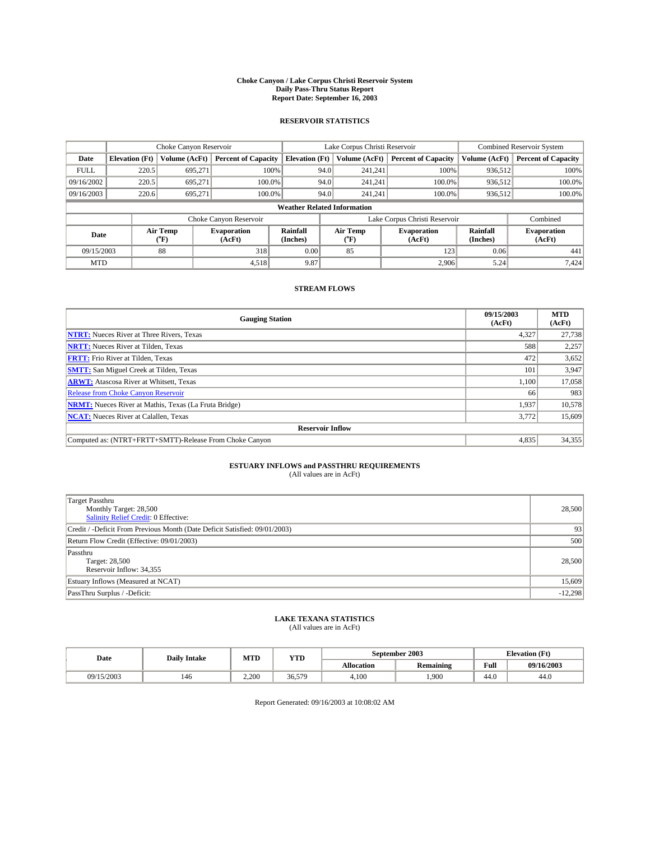#### **Choke Canyon / Lake Corpus Christi Reservoir System Daily Pass-Thru Status Report Report Date: September 16, 2003**

### **RESERVOIR STATISTICS**

|             | Choke Canyon Reservoir             |                  | Lake Corpus Christi Reservoir |                       |                               |                  | <b>Combined Reservoir System</b> |                      |                              |  |
|-------------|------------------------------------|------------------|-------------------------------|-----------------------|-------------------------------|------------------|----------------------------------|----------------------|------------------------------|--|
| Date        | <b>Elevation</b> (Ft)              | Volume (AcFt)    | <b>Percent of Capacity</b>    | <b>Elevation (Ft)</b> |                               | Volume (AcFt)    | <b>Percent of Capacity</b>       | Volume (AcFt)        | <b>Percent of Capacity</b>   |  |
| <b>FULL</b> | 220.5                              | 695,271          |                               | 100%                  | 94.0                          | 241,241          | 100%                             | 936.512              | 100%                         |  |
| 09/16/2002  | 220.5                              | 695.271          | $100.0\%$                     |                       | 94.0                          | 241.241          | $100.0\%$                        | 936.512              | 100.0%                       |  |
| 09/16/2003  | 220.6                              | 695.271          | 100.0%                        |                       | 94.0                          | 241,241          | $100.0\%$                        | 936,512              | 100.0%                       |  |
|             | <b>Weather Related Information</b> |                  |                               |                       |                               |                  |                                  |                      |                              |  |
|             |                                    |                  | Choke Canyon Reservoir        |                       | Lake Corpus Christi Reservoir |                  |                                  |                      | Combined                     |  |
| Date        |                                    | Air Temp<br>(°F) | <b>Evaporation</b><br>(AcFt)  | Rainfall<br>(Inches)  |                               | Air Temp<br>("F) | <b>Evaporation</b><br>(AcFt)     | Rainfall<br>(Inches) | <b>Evaporation</b><br>(AcFt) |  |
| 09/15/2003  |                                    | 88               | 318                           | 0.00                  |                               | 85               | 123                              | 0.06                 | 441                          |  |
| <b>MTD</b>  |                                    |                  | 4,518                         | 9.87                  |                               |                  | 2,906                            | 5.24                 | 7,424                        |  |

## **STREAM FLOWS**

| <b>Gauging Station</b>                                       | 09/15/2003<br>(AcFt) | <b>MTD</b><br>(AcFt) |
|--------------------------------------------------------------|----------------------|----------------------|
| <b>NTRT:</b> Nueces River at Three Rivers, Texas             | 4,327                | 27,738               |
| <b>NRTT:</b> Nueces River at Tilden, Texas                   | 588                  | 2,257                |
| <b>FRTT:</b> Frio River at Tilden, Texas                     | 472                  | 3,652                |
| <b>SMTT:</b> San Miguel Creek at Tilden, Texas               | 101                  | 3,947                |
| <b>ARWT:</b> Atascosa River at Whitsett, Texas               | 1,100                | 17,058               |
| <b>Release from Choke Canyon Reservoir</b>                   | 66                   | 983                  |
| <b>NRMT:</b> Nueces River at Mathis, Texas (La Fruta Bridge) | 1,937                | 10,578               |
| <b>NCAT:</b> Nueces River at Calallen, Texas                 | 3,772                | 15,609               |
| <b>Reservoir Inflow</b>                                      |                      |                      |
| Computed as: (NTRT+FRTT+SMTT)-Release From Choke Canyon      | 4,835                | 34,355               |

# **ESTUARY INFLOWS and PASSTHRU REQUIREMENTS**<br>(All values are in AcFt)

| <b>Target Passthru</b><br>Monthly Target: 28,500<br>Salinity Relief Credit: 0 Effective: | 28,500    |
|------------------------------------------------------------------------------------------|-----------|
| Credit / -Deficit From Previous Month (Date Deficit Satisfied: 09/01/2003)               | 93        |
| Return Flow Credit (Effective: 09/01/2003)                                               | 500       |
| Passthru<br>Target: 28,500<br>Reservoir Inflow: 34,355                                   | 28,500    |
| Estuary Inflows (Measured at NCAT)                                                       | 15,609    |
| PassThru Surplus / -Deficit:                                                             | $-12,298$ |

# **LAKE TEXANA STATISTICS** (All values are in AcFt)

| Date       | <b>Daily Intake</b> | MTD   | <b>YTD</b> |                   | September 2003 | <b>Elevation</b> (Ft) |            |
|------------|---------------------|-------|------------|-------------------|----------------|-----------------------|------------|
|            |                     |       |            | <b>Allocation</b> | Remaining      | Full                  | 09/16/2003 |
| 09/15/2003 | 146                 | 2.200 | 36,579     | 4,100             | ,900           | 44.0                  | 44.0       |

Report Generated: 09/16/2003 at 10:08:02 AM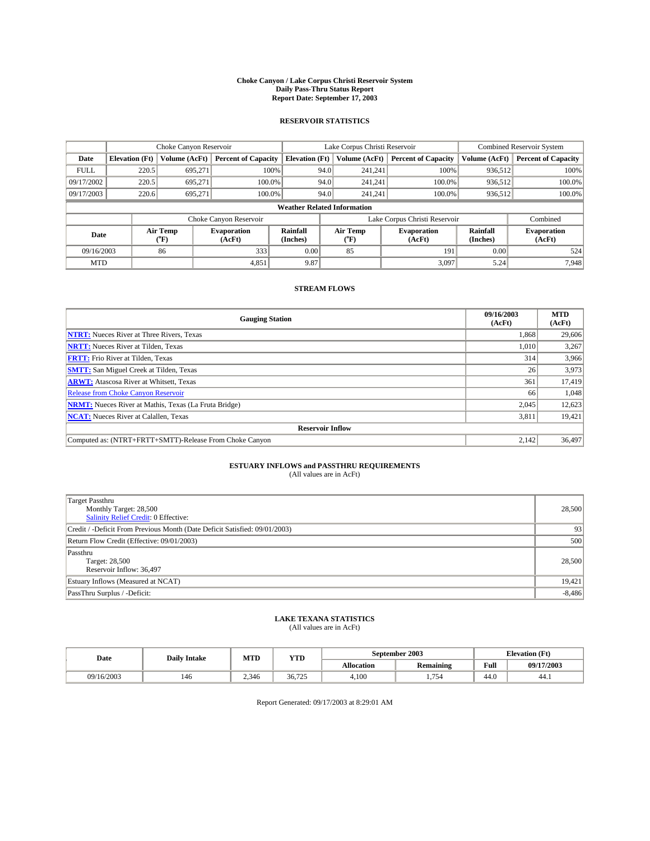#### **Choke Canyon / Lake Corpus Christi Reservoir System Daily Pass-Thru Status Report Report Date: September 17, 2003**

### **RESERVOIR STATISTICS**

|             | Choke Canyon Reservoir             |                  | Lake Corpus Christi Reservoir |                       |                               |                  | <b>Combined Reservoir System</b> |                      |                              |  |
|-------------|------------------------------------|------------------|-------------------------------|-----------------------|-------------------------------|------------------|----------------------------------|----------------------|------------------------------|--|
| Date        | <b>Elevation</b> (Ft)              | Volume (AcFt)    | <b>Percent of Capacity</b>    | <b>Elevation (Ft)</b> |                               | Volume (AcFt)    | <b>Percent of Capacity</b>       | Volume (AcFt)        | <b>Percent of Capacity</b>   |  |
| <b>FULL</b> | 220.5                              | 695,271          | 100%                          |                       | 94.0                          | 241,241          | 100%                             | 936.512              | 100%                         |  |
| 09/17/2002  | 220.5                              | 695.271          | $100.0\%$                     |                       | 94.0                          | 241.241          | $100.0\%$                        | 936.512              | 100.0%                       |  |
| 09/17/2003  | 220.6                              | 695.271          | 100.0%                        |                       | 94.0                          | 241,241          | $100.0\%$                        | 936,512              | 100.0%                       |  |
|             | <b>Weather Related Information</b> |                  |                               |                       |                               |                  |                                  |                      |                              |  |
|             |                                    |                  | Choke Canyon Reservoir        |                       | Lake Corpus Christi Reservoir |                  |                                  |                      | Combined                     |  |
| Date        |                                    | Air Temp<br>(°F) | <b>Evaporation</b><br>(AcFt)  | Rainfall<br>(Inches)  |                               | Air Temp<br>("F) | <b>Evaporation</b><br>(AcFt)     | Rainfall<br>(Inches) | <b>Evaporation</b><br>(AcFt) |  |
| 09/16/2003  |                                    | 86               | 333                           | 0.00                  |                               | 85               | 191                              | 0.00                 | 524                          |  |
| <b>MTD</b>  |                                    |                  | 4,851                         | 9.87                  |                               |                  | 3,097                            | 5.24                 | 7,948                        |  |

## **STREAM FLOWS**

| <b>Gauging Station</b>                                       | 09/16/2003<br>(AcFt) | <b>MTD</b><br>(AcFt) |
|--------------------------------------------------------------|----------------------|----------------------|
| <b>NTRT:</b> Nueces River at Three Rivers, Texas             | 1,868                | 29,606               |
| <b>NRTT:</b> Nueces River at Tilden, Texas                   | 1,010                | 3,267                |
| <b>FRTT:</b> Frio River at Tilden, Texas                     | 314                  | 3,966                |
| <b>SMTT:</b> San Miguel Creek at Tilden, Texas               | 26                   | 3,973                |
| <b>ARWT:</b> Atascosa River at Whitsett, Texas               | 361                  | 17,419               |
| <b>Release from Choke Canyon Reservoir</b>                   | 66                   | 1,048                |
| <b>NRMT:</b> Nueces River at Mathis, Texas (La Fruta Bridge) | 2,045                | 12,623               |
| <b>NCAT:</b> Nueces River at Calallen, Texas                 | 3,811                | 19,421               |
| <b>Reservoir Inflow</b>                                      |                      |                      |
| Computed as: (NTRT+FRTT+SMTT)-Release From Choke Canyon      | 2,142                | 36,497               |

## **ESTUARY INFLOWS and PASSTHRU REQUIREMENTS**<br>(All values are in AcFt)

| <b>Target Passthru</b><br>Monthly Target: 28,500<br>Salinity Relief Credit: 0 Effective: | 28,500   |
|------------------------------------------------------------------------------------------|----------|
| Credit / -Deficit From Previous Month (Date Deficit Satisfied: 09/01/2003)               | 93       |
| Return Flow Credit (Effective: 09/01/2003)                                               | 500      |
| Passthru<br>Target: 28,500<br>Reservoir Inflow: 36,497                                   | 28,500   |
| Estuary Inflows (Measured at NCAT)                                                       | 19,421   |
| PassThru Surplus / -Deficit:                                                             | $-8,486$ |

# **LAKE TEXANA STATISTICS** (All values are in AcFt)

| Date       | <b>Daily Intake</b> | MTD   | <b>YTD</b> |                   | September 2003   | <b>Elevation</b> (Ft) |            |
|------------|---------------------|-------|------------|-------------------|------------------|-----------------------|------------|
|            |                     |       |            | <b>Allocation</b> | <b>Remaining</b> | Full                  | 09/17/2003 |
| 09/16/2003 | 146                 | 2.346 | 36.725     | 4.100             | 75<br>.          | 44.0                  | 44.1       |

Report Generated: 09/17/2003 at 8:29:01 AM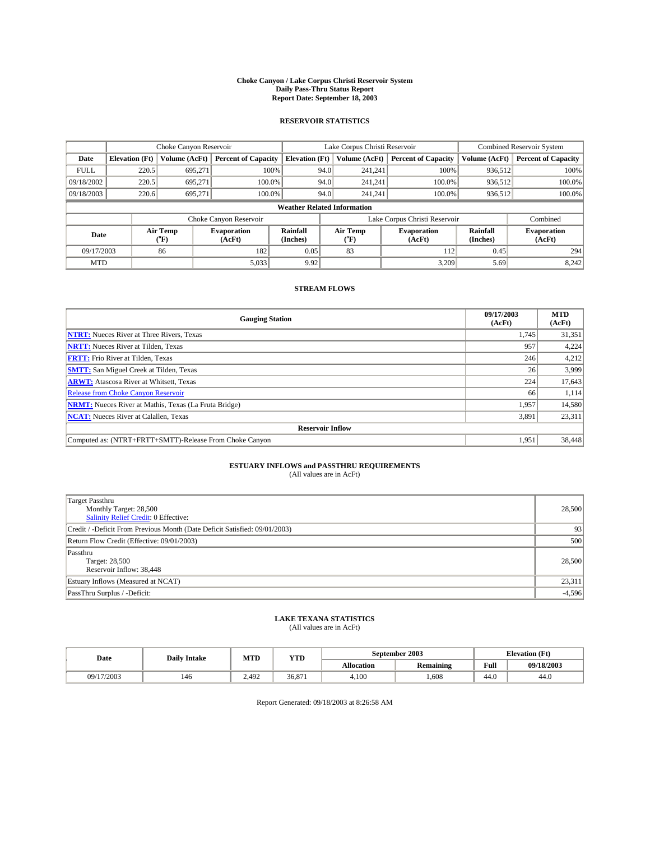#### **Choke Canyon / Lake Corpus Christi Reservoir System Daily Pass-Thru Status Report Report Date: September 18, 2003**

### **RESERVOIR STATISTICS**

|             | Choke Canyon Reservoir             |                  | Lake Corpus Christi Reservoir |                       |                               |                  | <b>Combined Reservoir System</b> |                      |                              |  |
|-------------|------------------------------------|------------------|-------------------------------|-----------------------|-------------------------------|------------------|----------------------------------|----------------------|------------------------------|--|
| Date        | <b>Elevation</b> (Ft)              | Volume (AcFt)    | <b>Percent of Capacity</b>    | <b>Elevation (Ft)</b> |                               | Volume (AcFt)    | <b>Percent of Capacity</b>       | Volume (AcFt)        | <b>Percent of Capacity</b>   |  |
| <b>FULL</b> | 220.5                              | 695,271          |                               | 100%                  | 94.0                          | 241,241          | 100%                             | 936.512              | 100%                         |  |
| 09/18/2002  | 220.5                              | 695.271          | $100.0\%$                     |                       | 94.0                          | 241.241          | $100.0\%$                        | 936.512              | 100.0%                       |  |
| 09/18/2003  | 220.6                              | 695.271          | 100.0%                        |                       | 94.0                          | 241,241          | $100.0\%$                        | 936,512              | 100.0%                       |  |
|             | <b>Weather Related Information</b> |                  |                               |                       |                               |                  |                                  |                      |                              |  |
|             |                                    |                  | Choke Canyon Reservoir        |                       | Lake Corpus Christi Reservoir |                  |                                  |                      | Combined                     |  |
| Date        |                                    | Air Temp<br>(°F) | <b>Evaporation</b><br>(AcFt)  | Rainfall<br>(Inches)  |                               | Air Temp<br>("F) | <b>Evaporation</b><br>(AcFt)     | Rainfall<br>(Inches) | <b>Evaporation</b><br>(AcFt) |  |
| 09/17/2003  |                                    | 86               | 182                           | 0.05                  |                               | 83               | 112                              | 0.45                 | 294                          |  |
| <b>MTD</b>  |                                    |                  | 5,033                         | 9.92                  |                               |                  | 3,209                            | 5.69                 | 8,242                        |  |

## **STREAM FLOWS**

| <b>Gauging Station</b>                                       | 09/17/2003<br>(AcFt) | <b>MTD</b><br>(AcFt) |
|--------------------------------------------------------------|----------------------|----------------------|
| <b>NTRT:</b> Nueces River at Three Rivers, Texas             | 1,745                | 31,351               |
| <b>NRTT:</b> Nueces River at Tilden, Texas                   | 957                  | 4,224                |
| <b>FRTT:</b> Frio River at Tilden, Texas                     | 246                  | 4,212                |
| <b>SMTT:</b> San Miguel Creek at Tilden, Texas               | 26 <sup>1</sup>      | 3,999                |
| <b>ARWT:</b> Atascosa River at Whitsett, Texas               | 224                  | 17,643               |
| <b>Release from Choke Canyon Reservoir</b>                   | 66                   | 1,114                |
| <b>NRMT:</b> Nueces River at Mathis, Texas (La Fruta Bridge) | 1,957                | 14,580               |
| <b>NCAT:</b> Nueces River at Calallen, Texas                 | 3,891                | 23,311               |
| <b>Reservoir Inflow</b>                                      |                      |                      |
| Computed as: (NTRT+FRTT+SMTT)-Release From Choke Canyon      | 1.951                | 38,448               |

## **ESTUARY INFLOWS and PASSTHRU REQUIREMENTS**<br>(All values are in AcFt)

| <b>Target Passthru</b><br>Monthly Target: 28,500<br>Salinity Relief Credit: 0 Effective: | 28,500   |
|------------------------------------------------------------------------------------------|----------|
| Credit / -Deficit From Previous Month (Date Deficit Satisfied: 09/01/2003)               | 93       |
| Return Flow Credit (Effective: 09/01/2003)                                               | 500      |
| Passthru<br>Target: 28,500<br>Reservoir Inflow: 38,448                                   | 28,500   |
| Estuary Inflows (Measured at NCAT)                                                       | 23,311   |
| PassThru Surplus / -Deficit:                                                             | $-4,596$ |

# **LAKE TEXANA STATISTICS** (All values are in AcFt)

| Date          | <b>Daily Intake</b> | MTD   | <b>VTT</b><br>1 I.D |            | September 2003   | <b>Elevation</b> (Ft) |            |
|---------------|---------------------|-------|---------------------|------------|------------------|-----------------------|------------|
|               |                     |       |                     | Allocation | <b>Remaining</b> | Full                  | 09/18/2003 |
| /17/2003<br>ю | 146                 | 2.492 | 36,871              | 4.100      | .608             | 44.0                  | 44.0       |

Report Generated: 09/18/2003 at 8:26:58 AM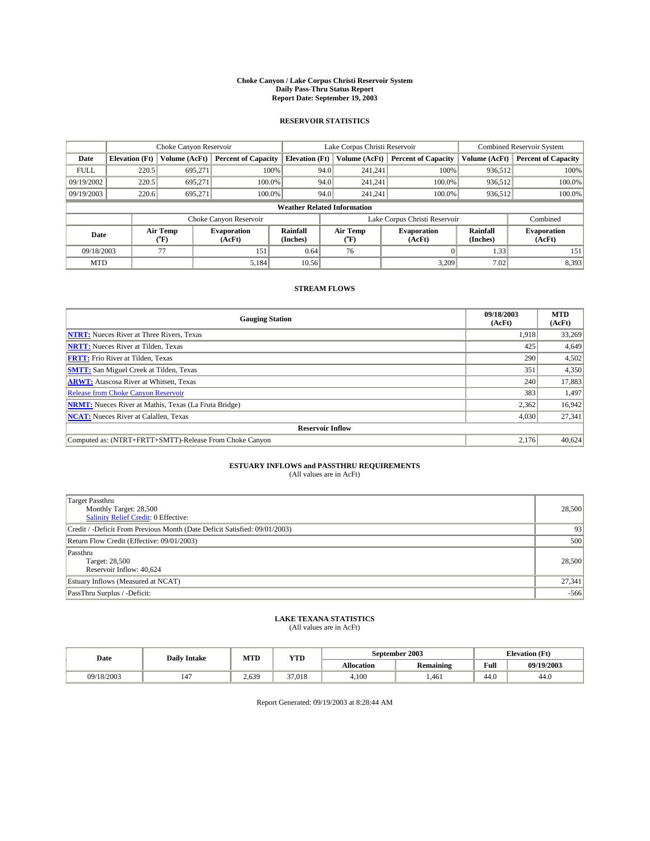#### **Choke Canyon / Lake Corpus Christi Reservoir System Daily Pass-Thru Status Report Report Date: September 19, 2003**

### **RESERVOIR STATISTICS**

|             | Choke Canyon Reservoir             |                  | Lake Corpus Christi Reservoir |                       |                               |                  | <b>Combined Reservoir System</b> |                      |                              |  |
|-------------|------------------------------------|------------------|-------------------------------|-----------------------|-------------------------------|------------------|----------------------------------|----------------------|------------------------------|--|
| Date        | <b>Elevation</b> (Ft)              | Volume (AcFt)    | <b>Percent of Capacity</b>    | <b>Elevation (Ft)</b> |                               | Volume (AcFt)    | <b>Percent of Capacity</b>       | Volume (AcFt)        | <b>Percent of Capacity</b>   |  |
| <b>FULL</b> | 220.5                              | 695,271          |                               | 100%                  | 94.0                          | 241,241          | 100%                             | 936.512              | 100%                         |  |
| 09/19/2002  | 220.5                              | 695.271          | $100.0\%$                     |                       | 94.0                          | 241.241          | $100.0\%$                        | 936.512              | 100.0%                       |  |
| 09/19/2003  | 220.6                              | 695.271          | 100.0%                        |                       | 94.0                          |                  | $100.0\%$<br>241.241             | 936,512              | 100.0%                       |  |
|             | <b>Weather Related Information</b> |                  |                               |                       |                               |                  |                                  |                      |                              |  |
|             |                                    |                  | Choke Canyon Reservoir        |                       | Lake Corpus Christi Reservoir |                  |                                  |                      | Combined                     |  |
| Date        |                                    | Air Temp<br>(°F) | <b>Evaporation</b><br>(AcFt)  | Rainfall<br>(Inches)  |                               | Air Temp<br>("F) | <b>Evaporation</b><br>(AcFt)     | Rainfall<br>(Inches) | <b>Evaporation</b><br>(AcFt) |  |
| 09/18/2003  |                                    | 77               | 151                           | 0.64                  |                               | 76               |                                  | 1.33                 | 151                          |  |
| <b>MTD</b>  |                                    |                  | 5,184                         | 10.56                 |                               |                  | 3,209                            | 7.02                 | 8,393                        |  |

## **STREAM FLOWS**

| <b>Gauging Station</b>                                       | 09/18/2003<br>(AcFt) | <b>MTD</b><br>(AcFt) |
|--------------------------------------------------------------|----------------------|----------------------|
| <b>NTRT:</b> Nueces River at Three Rivers, Texas             | 1,918                | 33,269               |
| <b>NRTT:</b> Nueces River at Tilden, Texas                   | 425                  | 4,649                |
| <b>FRTT:</b> Frio River at Tilden, Texas                     | 290                  | 4,502                |
| <b>SMTT:</b> San Miguel Creek at Tilden, Texas               | 351                  | 4,350                |
| <b>ARWT:</b> Atascosa River at Whitsett, Texas               | 240                  | 17,883               |
| <b>Release from Choke Canyon Reservoir</b>                   | 383                  | 1,497                |
| <b>NRMT:</b> Nueces River at Mathis, Texas (La Fruta Bridge) | 2,362                | 16,942               |
| <b>NCAT:</b> Nueces River at Calallen, Texas                 | 4,030                | 27,341               |
| <b>Reservoir Inflow</b>                                      |                      |                      |
| Computed as: (NTRT+FRTT+SMTT)-Release From Choke Canyon      | 2,176                | 40,624               |

# **ESTUARY INFLOWS and PASSTHRU REQUIREMENTS**<br>(All values are in AcFt)

| <b>Target Passthru</b><br>Monthly Target: 28,500<br>Salinity Relief Credit: 0 Effective: | 28,500 |
|------------------------------------------------------------------------------------------|--------|
| Credit / -Deficit From Previous Month (Date Deficit Satisfied: 09/01/2003)               | 93     |
| Return Flow Credit (Effective: 09/01/2003)                                               | 500    |
| Passthru<br>Target: 28,500<br>Reservoir Inflow: 40,624                                   | 28,500 |
| Estuary Inflows (Measured at NCAT)                                                       | 27,341 |
| PassThru Surplus / -Deficit:                                                             | $-566$ |

# **LAKE TEXANA STATISTICS** (All values are in AcFt)

| Date       | <b>Daily Intake</b> | MTD   | YTD    |                   | September 2003   | <b>Elevation</b> (Ft) |            |
|------------|---------------------|-------|--------|-------------------|------------------|-----------------------|------------|
|            |                     |       |        | <b>Allocation</b> | <b>Remaining</b> | Full                  | 09/19/2003 |
| 09/18/2003 | 147                 | 2.639 | 37.018 | 4.100             | .461             | 44.0                  | 44.0       |

Report Generated: 09/19/2003 at 8:28:44 AM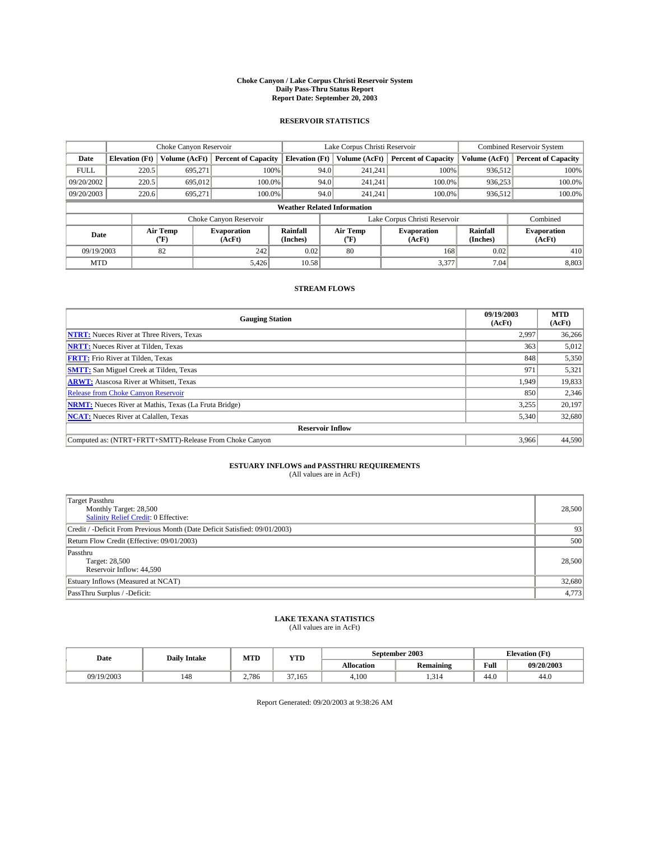#### **Choke Canyon / Lake Corpus Christi Reservoir System Daily Pass-Thru Status Report Report Date: September 20, 2003**

### **RESERVOIR STATISTICS**

|             | Choke Canyon Reservoir             |                             | Lake Corpus Christi Reservoir |                              |                               |                  | <b>Combined Reservoir System</b> |                             |                              |  |
|-------------|------------------------------------|-----------------------------|-------------------------------|------------------------------|-------------------------------|------------------|----------------------------------|-----------------------------|------------------------------|--|
| Date        | <b>Elevation</b> (Ft)              | Volume (AcFt)               | <b>Percent of Capacity</b>    | <b>Elevation</b> (Ft)        |                               | Volume (AcFt)    | <b>Percent of Capacity</b>       | Volume (AcFt)               | <b>Percent of Capacity</b>   |  |
| <b>FULL</b> | 220.5                              | 695,271                     |                               | 100%                         | 94.0                          | 241,241          | 100%                             | 936.512                     | 100%                         |  |
| 09/20/2002  | 220.5                              | 695,012                     | $100.0\%$                     |                              | 94.0                          | 241.241          | $100.0\%$                        | 936,253                     | 100.0%                       |  |
| 09/20/2003  | 220.6                              | 695.271                     | 100.0%                        | 94.0<br>$100.0\%$<br>241.241 |                               | 936,512          | 100.0%                           |                             |                              |  |
|             | <b>Weather Related Information</b> |                             |                               |                              |                               |                  |                                  |                             |                              |  |
|             |                                    |                             | Choke Canyon Reservoir        |                              | Lake Corpus Christi Reservoir |                  |                                  |                             | Combined                     |  |
| Date        |                                    | Air Temp<br>${}^{\circ}$ F) | <b>Evaporation</b><br>(AcFt)  | <b>Rainfall</b><br>(Inches)  |                               | Air Temp<br>("F) | <b>Evaporation</b><br>(AcFt)     | <b>Rainfall</b><br>(Inches) | <b>Evaporation</b><br>(AcFt) |  |
| 09/19/2003  |                                    | 82                          | 242                           | 0.02                         |                               | 80               | 168                              | 0.02                        | 410                          |  |
| <b>MTD</b>  |                                    |                             | 5,426                         | 10.58                        |                               |                  | 3,377                            | 7.04                        | 8,803                        |  |

## **STREAM FLOWS**

| <b>Gauging Station</b>                                       | 09/19/2003<br>(AcFt) | <b>MTD</b><br>(AcFt) |
|--------------------------------------------------------------|----------------------|----------------------|
| <b>NTRT:</b> Nueces River at Three Rivers, Texas             | 2,997                | 36,266               |
| <b>NRTT:</b> Nueces River at Tilden, Texas                   | 363                  | 5,012                |
| <b>FRTT:</b> Frio River at Tilden, Texas                     | 848                  | 5,350                |
| <b>SMTT:</b> San Miguel Creek at Tilden, Texas               | 971                  | 5,321                |
| <b>ARWT:</b> Atascosa River at Whitsett, Texas               | 1,949                | 19,833               |
| <b>Release from Choke Canyon Reservoir</b>                   | 850                  | 2,346                |
| <b>NRMT:</b> Nueces River at Mathis, Texas (La Fruta Bridge) | 3,255                | 20,197               |
| <b>NCAT:</b> Nueces River at Calallen, Texas                 | 5,340                | 32,680               |
| <b>Reservoir Inflow</b>                                      |                      |                      |
| Computed as: (NTRT+FRTT+SMTT)-Release From Choke Canyon      | 3.966                | 44,590               |

## **ESTUARY INFLOWS and PASSTHRU REQUIREMENTS**<br>(All values are in AcFt)

| <b>Target Passthru</b><br>Monthly Target: 28,500<br>Salinity Relief Credit: 0 Effective: | 28,500 |
|------------------------------------------------------------------------------------------|--------|
| Credit / -Deficit From Previous Month (Date Deficit Satisfied: 09/01/2003)               | 93     |
| Return Flow Credit (Effective: 09/01/2003)                                               | 500    |
| Passthru<br>Target: 28,500<br>Reservoir Inflow: 44,590                                   | 28,500 |
| Estuary Inflows (Measured at NCAT)                                                       | 32,680 |
| PassThru Surplus / -Deficit:                                                             | 4,773  |

# **LAKE TEXANA STATISTICS** (All values are in AcFt)

| Date       | <b>Daily Intake</b> | MTD   | <b>YTD</b>      |                   | September 2003 | Elevation (Ft) |            |
|------------|---------------------|-------|-----------------|-------------------|----------------|----------------|------------|
|            |                     |       |                 | <b>Allocation</b> | Remaining      | Full           | 09/20/2003 |
| 09/19/2003 | 148                 | 2,786 | $\sim$<br>7.165 | 4.100             | 1.314          | 44.0           | 44.0       |

Report Generated: 09/20/2003 at 9:38:26 AM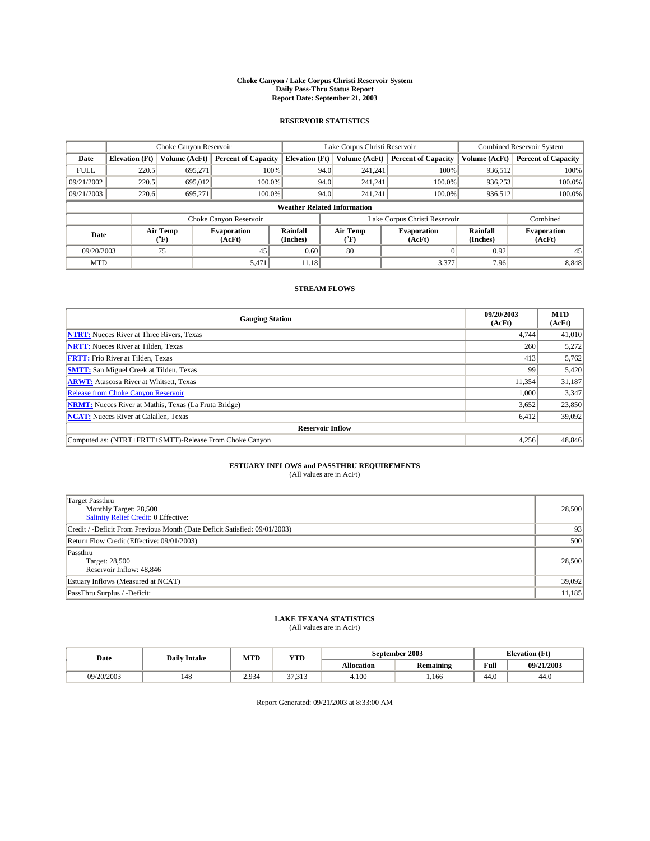#### **Choke Canyon / Lake Corpus Christi Reservoir System Daily Pass-Thru Status Report Report Date: September 21, 2003**

### **RESERVOIR STATISTICS**

|             | Choke Canyon Reservoir             |                  | Lake Corpus Christi Reservoir |                       |                               |                  | <b>Combined Reservoir System</b> |                      |                              |  |
|-------------|------------------------------------|------------------|-------------------------------|-----------------------|-------------------------------|------------------|----------------------------------|----------------------|------------------------------|--|
| Date        | <b>Elevation</b> (Ft)              | Volume (AcFt)    | <b>Percent of Capacity</b>    | <b>Elevation (Ft)</b> |                               | Volume (AcFt)    | <b>Percent of Capacity</b>       | Volume (AcFt)        | <b>Percent of Capacity</b>   |  |
| <b>FULL</b> | 220.5                              | 695,271          | 100%                          |                       | 94.0                          | 241,241          | 100%                             | 936.512              | 100%                         |  |
| 09/21/2002  | 220.5                              | 695,012          | $100.0\%$                     |                       | 94.0                          | 241.241          | $100.0\%$                        | 936.253              | 100.0%                       |  |
| 09/21/2003  | 220.6                              | 695.271          | 100.0%                        |                       | 94.0                          | 241.241          | $100.0\%$                        | 936,512              | 100.0%                       |  |
|             | <b>Weather Related Information</b> |                  |                               |                       |                               |                  |                                  |                      |                              |  |
|             |                                    |                  | Choke Canyon Reservoir        |                       | Lake Corpus Christi Reservoir |                  |                                  |                      | Combined                     |  |
| Date        |                                    | Air Temp<br>(°F) | <b>Evaporation</b><br>(AcFt)  | Rainfall<br>(Inches)  |                               | Air Temp<br>("F) | <b>Evaporation</b><br>(AcFt)     | Rainfall<br>(Inches) | <b>Evaporation</b><br>(AcFt) |  |
| 09/20/2003  |                                    | 75               | 45                            | 0.60                  |                               | 80               |                                  | 0.92                 | 45                           |  |
| <b>MTD</b>  |                                    |                  | 5,471                         | 11.18                 |                               |                  | 3,377                            | 7.96                 | 8,848                        |  |

## **STREAM FLOWS**

| <b>Gauging Station</b>                                       | 09/20/2003<br>(AcFt) | <b>MTD</b><br>(AcFt) |
|--------------------------------------------------------------|----------------------|----------------------|
| <b>NTRT:</b> Nueces River at Three Rivers, Texas             | 4,744                | 41,010               |
| <b>NRTT:</b> Nueces River at Tilden, Texas                   | 260                  | 5,272                |
| <b>FRTT:</b> Frio River at Tilden, Texas                     | 413                  | 5,762                |
| <b>SMTT:</b> San Miguel Creek at Tilden, Texas               | 99                   | 5,420                |
| <b>ARWT:</b> Atascosa River at Whitsett, Texas               | 11,354               | 31,187               |
| <b>Release from Choke Canyon Reservoir</b>                   | 1,000                | 3,347                |
| <b>NRMT:</b> Nueces River at Mathis, Texas (La Fruta Bridge) | 3,652                | 23,850               |
| <b>NCAT:</b> Nueces River at Calallen, Texas                 | 6,412                | 39,092               |
| <b>Reservoir Inflow</b>                                      |                      |                      |
| Computed as: (NTRT+FRTT+SMTT)-Release From Choke Canyon      | 4,256                | 48,846               |

# **ESTUARY INFLOWS and PASSTHRU REQUIREMENTS**<br>(All values are in AcFt)

| <b>Target Passthru</b><br>Monthly Target: 28,500<br>Salinity Relief Credit: 0 Effective: | 28,500 |
|------------------------------------------------------------------------------------------|--------|
| Credit / -Deficit From Previous Month (Date Deficit Satisfied: 09/01/2003)               | 93     |
| Return Flow Credit (Effective: 09/01/2003)                                               | 500    |
| Passthru<br>Target: 28,500<br>Reservoir Inflow: 48,846                                   | 28,500 |
| Estuary Inflows (Measured at NCAT)                                                       | 39,092 |
| PassThru Surplus / -Deficit:                                                             | 11,185 |

# **LAKE TEXANA STATISTICS** (All values are in AcFt)

| Date       | <b>Daily Intake</b> | MTD           | <b>YTD</b>                          |                   | September 2003   | <b>Elevation</b> (Ft) |            |
|------------|---------------------|---------------|-------------------------------------|-------------------|------------------|-----------------------|------------|
|            |                     |               |                                     | <b>Allocation</b> | <b>Remaining</b> | Full                  | 09/21/2003 |
| 09/20/2003 | 148                 | 2934<br>ر د پ | $\sim$<br>$\sim$ $\sim$<br><i>.</i> | 4,100             | .166             | $\epsilon$<br>44.U    | 44.0       |

Report Generated: 09/21/2003 at 8:33:00 AM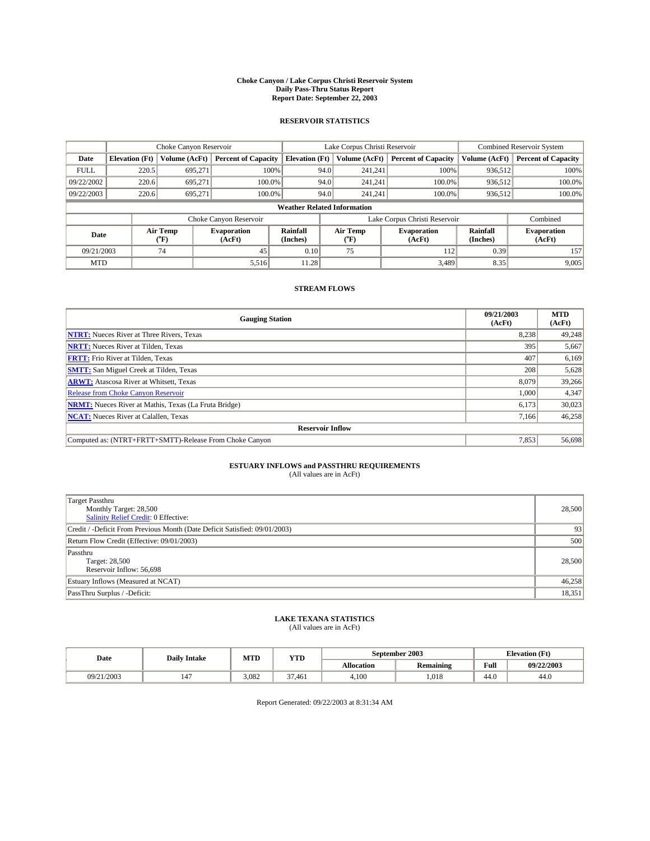#### **Choke Canyon / Lake Corpus Christi Reservoir System Daily Pass-Thru Status Report Report Date: September 22, 2003**

### **RESERVOIR STATISTICS**

|             | Choke Canyon Reservoir             |                  | Lake Corpus Christi Reservoir |                       |                               |                  | <b>Combined Reservoir System</b> |                      |                              |  |
|-------------|------------------------------------|------------------|-------------------------------|-----------------------|-------------------------------|------------------|----------------------------------|----------------------|------------------------------|--|
| Date        | <b>Elevation</b> (Ft)              | Volume (AcFt)    | <b>Percent of Capacity</b>    | <b>Elevation (Ft)</b> |                               | Volume (AcFt)    | <b>Percent of Capacity</b>       | Volume (AcFt)        | <b>Percent of Capacity</b>   |  |
| <b>FULL</b> | 220.5                              | 695,271          | 100%                          |                       | 94.0                          | 241,241          | 100%                             | 936.512              | 100%                         |  |
| 09/22/2002  | 220.6                              | 695.271          | $100.0\%$                     |                       | 94.0                          | 241.241          | $100.0\%$                        | 936.512              | 100.0%                       |  |
| 09/22/2003  | 220.6                              | 695.271          | 100.0%                        |                       | 94.0                          | 241.241          | $100.0\%$                        | 936,512              | 100.0%                       |  |
|             | <b>Weather Related Information</b> |                  |                               |                       |                               |                  |                                  |                      |                              |  |
|             |                                    |                  | Choke Canyon Reservoir        |                       | Lake Corpus Christi Reservoir |                  |                                  |                      | Combined                     |  |
| Date        |                                    | Air Temp<br>(°F) | <b>Evaporation</b><br>(AcFt)  | Rainfall<br>(Inches)  |                               | Air Temp<br>("F) | <b>Evaporation</b><br>(AcFt)     | Rainfall<br>(Inches) | <b>Evaporation</b><br>(AcFt) |  |
| 09/21/2003  |                                    | 74               | 45                            | 0.10                  |                               | 75               | 112                              | 0.39                 | 157                          |  |
| <b>MTD</b>  |                                    |                  | 5,516                         | 11.28                 |                               |                  | 3,489                            | 8.35                 | 9,005                        |  |

## **STREAM FLOWS**

| <b>Gauging Station</b>                                       | 09/21/2003<br>(AcFt) | <b>MTD</b><br>(AcFt) |
|--------------------------------------------------------------|----------------------|----------------------|
| <b>NTRT:</b> Nueces River at Three Rivers, Texas             | 8,238                | 49,248               |
| <b>NRTT:</b> Nueces River at Tilden, Texas                   | 395                  | 5,667                |
| <b>FRTT:</b> Frio River at Tilden, Texas                     | 407                  | 6,169                |
| <b>SMTT:</b> San Miguel Creek at Tilden, Texas               | 208                  | 5,628                |
| <b>ARWT:</b> Atascosa River at Whitsett, Texas               | 8,079                | 39,266               |
| <b>Release from Choke Canyon Reservoir</b>                   | 1,000                | 4,347                |
| <b>NRMT:</b> Nueces River at Mathis, Texas (La Fruta Bridge) | 6,173                | 30,023               |
| <b>NCAT:</b> Nueces River at Calallen, Texas                 | 7,166                | 46,258               |
| <b>Reservoir Inflow</b>                                      |                      |                      |
| Computed as: (NTRT+FRTT+SMTT)-Release From Choke Canyon      | 7,853                | 56,698               |

## **ESTUARY INFLOWS and PASSTHRU REQUIREMENTS**<br>(All values are in AcFt)

| <b>Target Passthru</b><br>Monthly Target: 28,500<br>Salinity Relief Credit: 0 Effective: | 28,500 |
|------------------------------------------------------------------------------------------|--------|
| Credit / -Deficit From Previous Month (Date Deficit Satisfied: 09/01/2003)               | 93     |
| Return Flow Credit (Effective: 09/01/2003)                                               | 500    |
| Passthru<br>Target: 28,500<br>Reservoir Inflow: 56,698                                   | 28,500 |
| Estuary Inflows (Measured at NCAT)                                                       | 46,258 |
| PassThru Surplus / -Deficit:                                                             | 18,351 |

# **LAKE TEXANA STATISTICS** (All values are in AcFt)

| Date       | <b>Daily Intake</b>   | MTD   | <b>YTD</b>   |                   | September 2003   | <b>Elevation</b> (Ft) |            |
|------------|-----------------------|-------|--------------|-------------------|------------------|-----------------------|------------|
|            |                       |       |              | <b>Allocation</b> | <b>Remaining</b> | Full                  | 09/22/2003 |
| 09/21/2003 | $\overline{A}$<br>147 | 3,082 | 27<br>37.461 | 4.100             | 1.018            | 44.0                  | 44.0       |

Report Generated: 09/22/2003 at 8:31:34 AM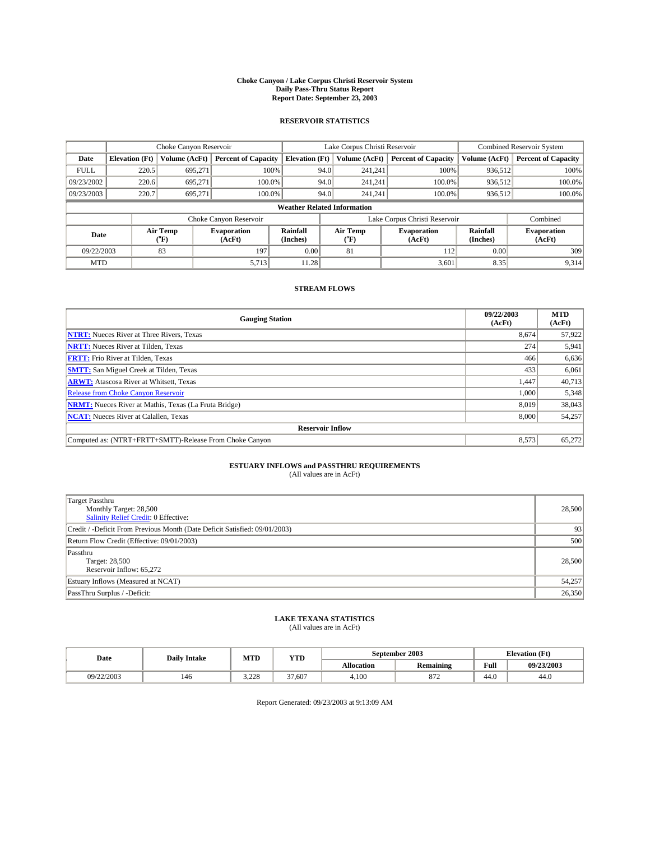#### **Choke Canyon / Lake Corpus Christi Reservoir System Daily Pass-Thru Status Report Report Date: September 23, 2003**

### **RESERVOIR STATISTICS**

|             | Choke Canyon Reservoir             |                  | Lake Corpus Christi Reservoir |                       |                               |                  | <b>Combined Reservoir System</b> |                      |                              |  |
|-------------|------------------------------------|------------------|-------------------------------|-----------------------|-------------------------------|------------------|----------------------------------|----------------------|------------------------------|--|
| Date        | <b>Elevation</b> (Ft)              | Volume (AcFt)    | <b>Percent of Capacity</b>    | <b>Elevation (Ft)</b> |                               | Volume (AcFt)    | <b>Percent of Capacity</b>       | Volume (AcFt)        | <b>Percent of Capacity</b>   |  |
| <b>FULL</b> | 220.5                              | 695,271          |                               | 100%                  | 94.0                          | 241,241          | 100%                             | 936.512              | 100%                         |  |
| 09/23/2002  | 220.6                              | 695.271          | $100.0\%$                     |                       | 94.0                          | 241.241          | $100.0\%$                        | 936.512              | 100.0%                       |  |
| 09/23/2003  | 220.7                              | 695.271          | 100.0%                        |                       | 94.0                          | 241.241          | $100.0\%$                        | 936,512              | 100.0%                       |  |
|             | <b>Weather Related Information</b> |                  |                               |                       |                               |                  |                                  |                      |                              |  |
|             |                                    |                  | Choke Canyon Reservoir        |                       | Lake Corpus Christi Reservoir |                  |                                  |                      | Combined                     |  |
| Date        |                                    | Air Temp<br>(°F) | <b>Evaporation</b><br>(AcFt)  | Rainfall<br>(Inches)  |                               | Air Temp<br>("F) | <b>Evaporation</b><br>(AcFt)     | Rainfall<br>(Inches) | <b>Evaporation</b><br>(AcFt) |  |
| 09/22/2003  |                                    | 83               | 197                           | 0.00                  |                               | 81               | 112                              | 0.00                 | 309                          |  |
| <b>MTD</b>  |                                    |                  | 5,713                         | 11.28                 |                               |                  | 3,601                            | 8.35                 | 9,314                        |  |

## **STREAM FLOWS**

| <b>Gauging Station</b>                                       | 09/22/2003<br>(AcFt) | <b>MTD</b><br>(AcFt) |
|--------------------------------------------------------------|----------------------|----------------------|
| <b>NTRT:</b> Nueces River at Three Rivers, Texas             | 8,674                | 57,922               |
| <b>NRTT:</b> Nueces River at Tilden, Texas                   | 274                  | 5,941                |
| <b>FRTT:</b> Frio River at Tilden, Texas                     | 466                  | 6,636                |
| <b>SMTT:</b> San Miguel Creek at Tilden, Texas               | 433                  | 6,061                |
| <b>ARWT:</b> Atascosa River at Whitsett, Texas               | 1,447                | 40,713               |
| <b>Release from Choke Canyon Reservoir</b>                   | 1,000                | 5,348                |
| <b>NRMT:</b> Nueces River at Mathis, Texas (La Fruta Bridge) | 8.019                | 38,043               |
| <b>NCAT:</b> Nueces River at Calallen, Texas                 | 8,000                | 54,257               |
| <b>Reservoir Inflow</b>                                      |                      |                      |
| Computed as: (NTRT+FRTT+SMTT)-Release From Choke Canyon      | 8,573                | 65,272               |

## **ESTUARY INFLOWS and PASSTHRU REQUIREMENTS**<br>(All values are in AcFt)

| <b>Target Passthru</b><br>Monthly Target: 28,500<br>Salinity Relief Credit: 0 Effective: | 28,500 |
|------------------------------------------------------------------------------------------|--------|
| Credit / -Deficit From Previous Month (Date Deficit Satisfied: 09/01/2003)               | 93     |
| Return Flow Credit (Effective: 09/01/2003)                                               | 500    |
| Passthru<br>Target: 28,500<br>Reservoir Inflow: 65,272                                   | 28,500 |
| Estuary Inflows (Measured at NCAT)                                                       | 54,257 |
| PassThru Surplus / -Deficit:                                                             | 26,350 |

# **LAKE TEXANA STATISTICS** (All values are in AcFt)

| Date       | <b>Daily Intake</b> | MTD          | VTT<br>1. L.D | September 2003 |                             |      | <b>Elevation</b> (Ft) |
|------------|---------------------|--------------|---------------|----------------|-----------------------------|------|-----------------------|
|            |                     |              |               | Allocation     | <b>Remaining</b>            | Full | 09/23/2003            |
| 09/22/2003 | 146                 | 220<br>3.220 | 27<br>37.607  | 4.100          | $\sim$ $\sim$ $\sim$<br>O/L | 44.0 | 44.0                  |

Report Generated: 09/23/2003 at 9:13:09 AM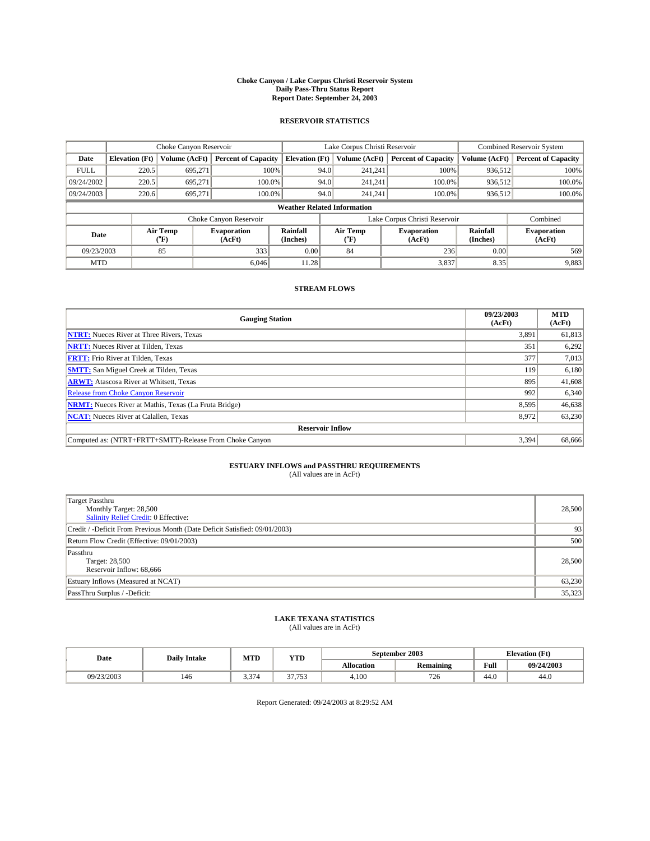#### **Choke Canyon / Lake Corpus Christi Reservoir System Daily Pass-Thru Status Report Report Date: September 24, 2003**

### **RESERVOIR STATISTICS**

|             | Choke Canyon Reservoir             |                  | Lake Corpus Christi Reservoir |                             |                               |                  | <b>Combined Reservoir System</b> |                             |                              |  |
|-------------|------------------------------------|------------------|-------------------------------|-----------------------------|-------------------------------|------------------|----------------------------------|-----------------------------|------------------------------|--|
| Date        | <b>Elevation</b> (Ft)              | Volume (AcFt)    | <b>Percent of Capacity</b>    | <b>Elevation</b> (Ft)       |                               | Volume (AcFt)    | <b>Percent of Capacity</b>       | Volume (AcFt)               | <b>Percent of Capacity</b>   |  |
| <b>FULL</b> | 220.5                              | 695,271          |                               | 100%                        | 94.0                          | 241,241          | 100%                             | 936.512                     | 100%                         |  |
| 09/24/2002  | 220.5                              | 695.271          | $100.0\%$                     |                             | 94.0                          | 241.241          | $100.0\%$                        | 936.512                     | 100.0%                       |  |
| 09/24/2003  | 220.6                              | 695.271          | 100.0%                        |                             | 94.0                          | 241.241          | $100.0\%$                        | 936,512                     | 100.0%                       |  |
|             | <b>Weather Related Information</b> |                  |                               |                             |                               |                  |                                  |                             |                              |  |
|             |                                    |                  | Choke Canyon Reservoir        |                             | Lake Corpus Christi Reservoir |                  |                                  |                             | Combined                     |  |
| Date        |                                    | Air Temp<br>(°F) | <b>Evaporation</b><br>(AcFt)  | <b>Rainfall</b><br>(Inches) |                               | Air Temp<br>("F) | <b>Evaporation</b><br>(AcFt)     | <b>Rainfall</b><br>(Inches) | <b>Evaporation</b><br>(AcFt) |  |
| 09/23/2003  |                                    | 85               | 333                           | 0.00                        |                               | 84               | 236                              | 0.00                        | 569                          |  |
| <b>MTD</b>  |                                    |                  | 6.046                         | 11.28                       |                               |                  | 3,837                            | 8.35                        | 9,883                        |  |

## **STREAM FLOWS**

| <b>Gauging Station</b>                                       | 09/23/2003<br>(AcFt) | <b>MTD</b><br>(AcFt) |
|--------------------------------------------------------------|----------------------|----------------------|
| <b>NTRT:</b> Nueces River at Three Rivers, Texas             | 3,891                | 61,813               |
| <b>NRTT:</b> Nueces River at Tilden, Texas                   | 351                  | 6,292                |
| <b>FRTT:</b> Frio River at Tilden, Texas                     | 377                  | 7,013                |
| <b>SMTT:</b> San Miguel Creek at Tilden, Texas               | 119                  | 6,180                |
| <b>ARWT:</b> Atascosa River at Whitsett, Texas               | 895                  | 41,608               |
| <b>Release from Choke Canyon Reservoir</b>                   | 992                  | 6,340                |
| <b>NRMT:</b> Nueces River at Mathis, Texas (La Fruta Bridge) | 8,595                | 46,638               |
| <b>NCAT:</b> Nueces River at Calallen, Texas                 | 8,972                | 63,230               |
| <b>Reservoir Inflow</b>                                      |                      |                      |
| Computed as: (NTRT+FRTT+SMTT)-Release From Choke Canyon      | 3,394                | 68,666               |

# **ESTUARY INFLOWS and PASSTHRU REQUIREMENTS**<br>(All values are in AcFt)

| <b>Target Passthru</b><br>Monthly Target: 28,500<br>Salinity Relief Credit: 0 Effective: | 28,500 |
|------------------------------------------------------------------------------------------|--------|
| Credit / -Deficit From Previous Month (Date Deficit Satisfied: 09/01/2003)               | 93     |
| Return Flow Credit (Effective: 09/01/2003)                                               | 500    |
| Passthru<br>Target: 28,500<br>Reservoir Inflow: 68,666                                   | 28,500 |
| Estuary Inflows (Measured at NCAT)                                                       | 63,230 |
| PassThru Surplus / -Deficit:                                                             | 35,323 |

# **LAKE TEXANA STATISTICS** (All values are in AcFt)

| Date       | <b>Daily Intake</b> | MTD   | <b>YTD</b>           |                   | September 2003 | Elevation (Ft) |            |
|------------|---------------------|-------|----------------------|-------------------|----------------|----------------|------------|
|            |                     |       |                      | <b>Allocation</b> | Remaining      | Full           | 09/24/2003 |
| 09/23/2003 | 146                 | 5,374 | 27.75<br>, , , , , , | 4.100             | 726            | 44.0           | 44.0       |

Report Generated: 09/24/2003 at 8:29:52 AM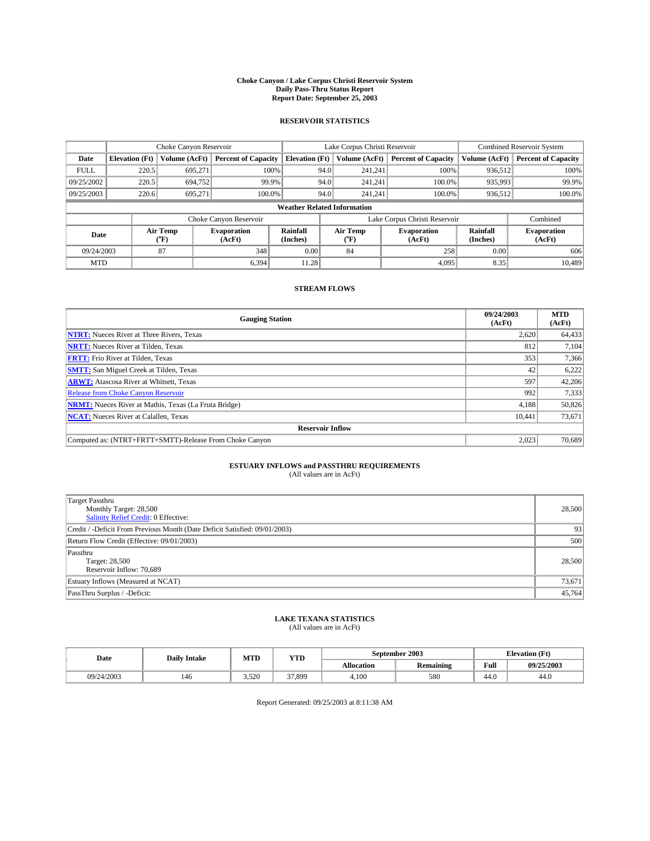#### **Choke Canyon / Lake Corpus Christi Reservoir System Daily Pass-Thru Status Report Report Date: September 25, 2003**

### **RESERVOIR STATISTICS**

|             | Choke Canyon Reservoir             |                  | Lake Corpus Christi Reservoir |                       |                               |                  | <b>Combined Reservoir System</b> |                      |                              |
|-------------|------------------------------------|------------------|-------------------------------|-----------------------|-------------------------------|------------------|----------------------------------|----------------------|------------------------------|
| Date        | <b>Elevation</b> (Ft)              | Volume (AcFt)    | <b>Percent of Capacity</b>    | <b>Elevation (Ft)</b> |                               | Volume (AcFt)    | <b>Percent of Capacity</b>       | Volume (AcFt)        | <b>Percent of Capacity</b>   |
| <b>FULL</b> | 220.5                              | 695,271          | 100%                          |                       | 94.0                          | 241,241          | 100%                             | 936.512              | 100%                         |
| 09/25/2002  | 220.5                              | 694,752          | 99.9%                         |                       | 94.0                          | 241.241          | $100.0\%$                        | 935,993              | 99.9%                        |
| 09/25/2003  | 220.6                              | 695.271          | 100.0%                        |                       | 94.0                          | 241,241          | $100.0\%$                        | 936,512              | 100.0%                       |
|             | <b>Weather Related Information</b> |                  |                               |                       |                               |                  |                                  |                      |                              |
|             |                                    |                  | Choke Canyon Reservoir        |                       | Lake Corpus Christi Reservoir |                  |                                  |                      | Combined                     |
| Date        |                                    | Air Temp<br>(°F) | <b>Evaporation</b><br>(AcFt)  | Rainfall<br>(Inches)  |                               | Air Temp<br>("F) | <b>Evaporation</b><br>(AcFt)     | Rainfall<br>(Inches) | <b>Evaporation</b><br>(AcFt) |
| 09/24/2003  |                                    | 87               | 348                           | 0.00                  |                               | 84               | 258                              | 0.00                 | 606                          |
| <b>MTD</b>  |                                    |                  | 6,394                         | 11.28                 |                               |                  | 4,095                            | 8.35                 | 10,489                       |

## **STREAM FLOWS**

| <b>Gauging Station</b>                                       | 09/24/2003<br>(AcFt) | <b>MTD</b><br>(AcFt) |
|--------------------------------------------------------------|----------------------|----------------------|
| <b>NTRT:</b> Nueces River at Three Rivers, Texas             | 2,620                | 64,433               |
| <b>NRTT:</b> Nueces River at Tilden, Texas                   | 812                  | 7,104                |
| <b>FRTT:</b> Frio River at Tilden, Texas                     | 353                  | 7,366                |
| <b>SMTT:</b> San Miguel Creek at Tilden, Texas               | 42                   | 6,222                |
| <b>ARWT:</b> Atascosa River at Whitsett, Texas               | 597                  | 42,206               |
| <b>Release from Choke Canyon Reservoir</b>                   | 992                  | 7,333                |
| <b>NRMT:</b> Nueces River at Mathis, Texas (La Fruta Bridge) | 4,188                | 50,826               |
| <b>NCAT:</b> Nueces River at Calallen, Texas                 | 10,441               | 73,671               |
| <b>Reservoir Inflow</b>                                      |                      |                      |
| Computed as: (NTRT+FRTT+SMTT)-Release From Choke Canyon      | 2,023                | 70,689               |

## **ESTUARY INFLOWS and PASSTHRU REQUIREMENTS**<br>(All values are in AcFt)

| <b>Target Passthru</b><br>Monthly Target: 28,500<br>Salinity Relief Credit: 0 Effective: | 28,500 |
|------------------------------------------------------------------------------------------|--------|
| Credit / -Deficit From Previous Month (Date Deficit Satisfied: 09/01/2003)               | 93     |
| Return Flow Credit (Effective: 09/01/2003)                                               | 500    |
| Passthru<br>Target: 28,500<br>Reservoir Inflow: 70,689                                   | 28,500 |
| Estuary Inflows (Measured at NCAT)                                                       | 73,671 |
| PassThru Surplus / -Deficit:                                                             | 45,764 |

# **LAKE TEXANA STATISTICS** (All values are in AcFt)

| Date       | <b>Daily Intake</b> | MTD   | <b>YTD</b> |                   | September 2003 | <b>Elevation</b> (Ft) |            |
|------------|---------------------|-------|------------|-------------------|----------------|-----------------------|------------|
|            |                     |       |            | <b>Allocation</b> | Remaining      | Full                  | 09/25/2003 |
| 09/24/2003 | 146                 | 3,520 | 37,899     | 4.100             | 580            | 44.0                  | 44.0       |

Report Generated: 09/25/2003 at 8:11:38 AM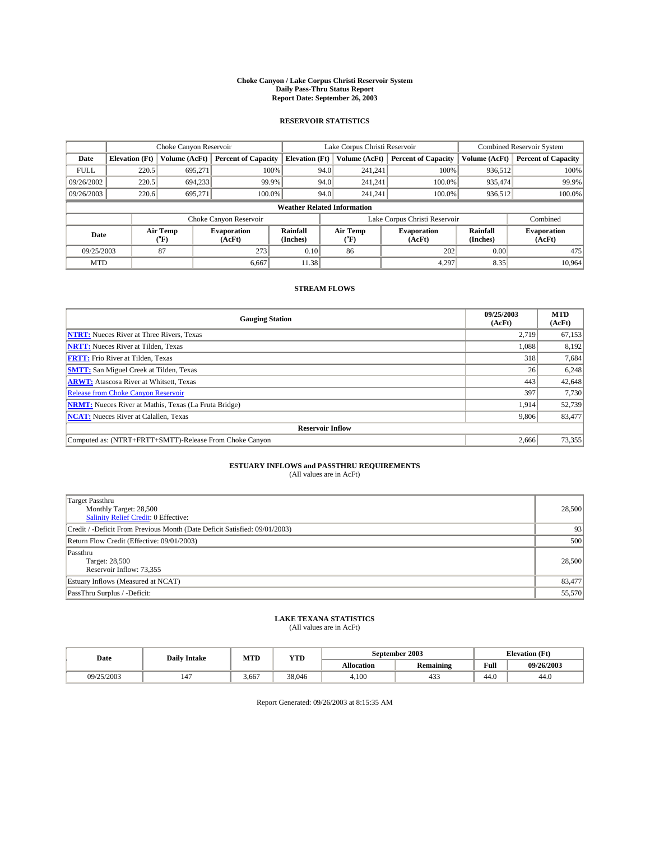#### **Choke Canyon / Lake Corpus Christi Reservoir System Daily Pass-Thru Status Report Report Date: September 26, 2003**

### **RESERVOIR STATISTICS**

|             | Choke Canyon Reservoir             |                  | Lake Corpus Christi Reservoir |                       |                               |                  | <b>Combined Reservoir System</b> |                      |                              |  |
|-------------|------------------------------------|------------------|-------------------------------|-----------------------|-------------------------------|------------------|----------------------------------|----------------------|------------------------------|--|
| Date        | <b>Elevation</b> (Ft)              | Volume (AcFt)    | <b>Percent of Capacity</b>    | <b>Elevation (Ft)</b> |                               | Volume (AcFt)    | <b>Percent of Capacity</b>       | Volume (AcFt)        | <b>Percent of Capacity</b>   |  |
| <b>FULL</b> | 220.5                              | 695,271          | 100%                          |                       | 94.0                          | 241,241          | 100%                             | 936.512              | 100%                         |  |
| 09/26/2002  | 220.5                              | 694.233          | 99.9%                         |                       | 94.0                          | 241.241          | $100.0\%$                        | 935.474              | 99.9%                        |  |
| 09/26/2003  | 220.6                              | 695.271          | 100.0%                        |                       | 94.0                          | 241,241          | $100.0\%$                        | 936,512              | 100.0%                       |  |
|             | <b>Weather Related Information</b> |                  |                               |                       |                               |                  |                                  |                      |                              |  |
|             |                                    |                  | Choke Canyon Reservoir        |                       | Lake Corpus Christi Reservoir |                  |                                  |                      | Combined                     |  |
| Date        |                                    | Air Temp<br>(°F) | <b>Evaporation</b><br>(AcFt)  | Rainfall<br>(Inches)  |                               | Air Temp<br>("F) | <b>Evaporation</b><br>(AcFt)     | Rainfall<br>(Inches) | <b>Evaporation</b><br>(AcFt) |  |
| 09/25/2003  |                                    | 87               | 273                           | 0.10                  |                               | 86               | 202                              | 0.00                 | 475                          |  |
| <b>MTD</b>  |                                    |                  | 6.667                         | 11.38                 |                               |                  | 4,297                            | 8.35                 | 10.964                       |  |

### **STREAM FLOWS**

| <b>Gauging Station</b>                                       | 09/25/2003<br>(AcFt) | <b>MTD</b><br>(AcFt) |
|--------------------------------------------------------------|----------------------|----------------------|
| <b>NTRT:</b> Nueces River at Three Rivers, Texas             | 2,719                | 67,153               |
| <b>NRTT:</b> Nueces River at Tilden, Texas                   | 1,088                | 8,192                |
| <b>FRTT:</b> Frio River at Tilden, Texas                     | 318                  | 7,684                |
| <b>SMTT:</b> San Miguel Creek at Tilden, Texas               | 26                   | 6,248                |
| <b>ARWT:</b> Atascosa River at Whitsett, Texas               | 443                  | 42,648               |
| Release from Choke Canyon Reservoir                          | 397                  | 7,730                |
| <b>NRMT:</b> Nueces River at Mathis, Texas (La Fruta Bridge) | 1,914                | 52,739               |
| <b>NCAT:</b> Nueces River at Calallen, Texas                 | 9,806                | 83,477               |
| <b>Reservoir Inflow</b>                                      |                      |                      |
| Computed as: (NTRT+FRTT+SMTT)-Release From Choke Canyon      | 2.666                | 73,355               |

# **ESTUARY INFLOWS and PASSTHRU REQUIREMENTS**<br>(All values are in AcFt)

| <b>Target Passthru</b><br>Monthly Target: 28,500<br>Salinity Relief Credit: 0 Effective: | 28,500 |
|------------------------------------------------------------------------------------------|--------|
| Credit / -Deficit From Previous Month (Date Deficit Satisfied: 09/01/2003)               | 93     |
| Return Flow Credit (Effective: 09/01/2003)                                               | 500    |
| Passthru<br>Target: 28,500<br>Reservoir Inflow: 73,355                                   | 28,500 |
| Estuary Inflows (Measured at NCAT)                                                       | 83,477 |
| PassThru Surplus / -Deficit:                                                             | 55,570 |

# **LAKE TEXANA STATISTICS** (All values are in AcFt)

| Date       | <b>Daily Intake</b>   | MTD   | <b>WITH</b><br>1 I.D |            | September 2003   | Elevation (F <sup>+)</sup> |            |
|------------|-----------------------|-------|----------------------|------------|------------------|----------------------------|------------|
|            |                       |       |                      | Allocation | <b>Remaining</b> | T.<br>Full                 | 09/26/2003 |
| 09/25/2003 | $\overline{A}$<br>14/ | 3.667 | 38,046               | 4.100      | $\sim$<br>453    | 44.0                       | 44.0       |

Report Generated: 09/26/2003 at 8:15:35 AM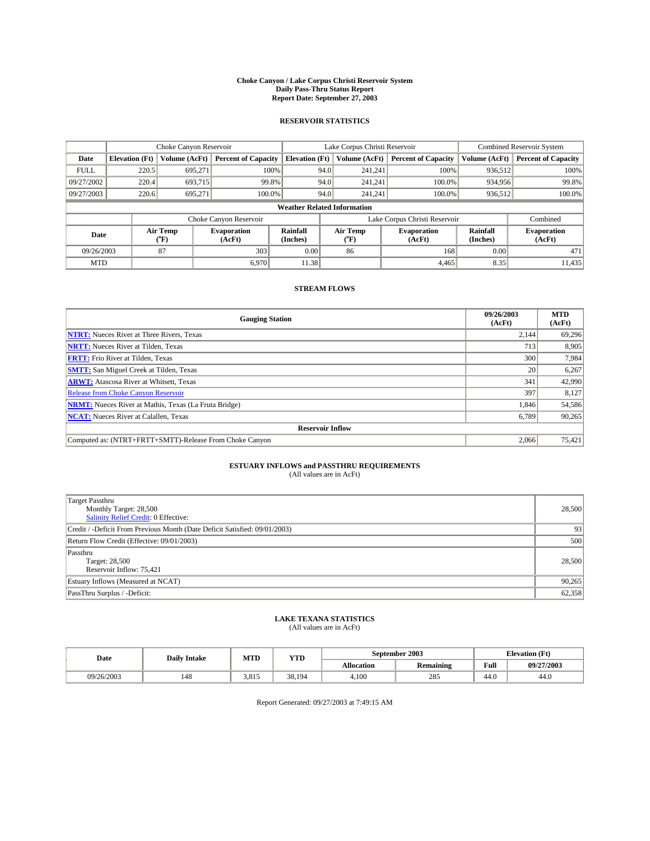#### **Choke Canyon / Lake Corpus Christi Reservoir System Daily Pass-Thru Status Report Report Date: September 27, 2003**

### **RESERVOIR STATISTICS**

|             | Choke Canyon Reservoir             |                  | Lake Corpus Christi Reservoir |                       |                               |                  | <b>Combined Reservoir System</b> |                      |                              |  |
|-------------|------------------------------------|------------------|-------------------------------|-----------------------|-------------------------------|------------------|----------------------------------|----------------------|------------------------------|--|
| Date        | <b>Elevation</b> (Ft)              | Volume (AcFt)    | <b>Percent of Capacity</b>    | <b>Elevation (Ft)</b> |                               | Volume (AcFt)    | <b>Percent of Capacity</b>       | Volume (AcFt)        | <b>Percent of Capacity</b>   |  |
| <b>FULL</b> | 220.5                              | 695,271          | 100%                          |                       | 94.0                          | 241,241          | 100%                             | 936.512              | 100%                         |  |
| 09/27/2002  | 220.4                              | 693.715          | 99.8%                         |                       | 94.0                          | 241.241          | $100.0\%$                        | 934,956              | 99.8%                        |  |
| 09/27/2003  | 220.6                              | 695.271          | 100.0%                        |                       | 94.0                          | 241,241          | $100.0\%$                        | 936,512              | 100.0%                       |  |
|             | <b>Weather Related Information</b> |                  |                               |                       |                               |                  |                                  |                      |                              |  |
|             |                                    |                  | Choke Canyon Reservoir        |                       | Lake Corpus Christi Reservoir |                  |                                  |                      | Combined                     |  |
| Date        |                                    | Air Temp<br>(°F) | <b>Evaporation</b><br>(AcFt)  | Rainfall<br>(Inches)  |                               | Air Temp<br>("F) | <b>Evaporation</b><br>(AcFt)     | Rainfall<br>(Inches) | <b>Evaporation</b><br>(AcFt) |  |
| 09/26/2003  |                                    | 87               | 303                           | 0.00                  |                               | 86               | 168                              | 0.00                 | 471                          |  |
| <b>MTD</b>  |                                    |                  | 6.970                         | 11.38                 |                               |                  | 4,465                            | 8.35                 | 11,435                       |  |

## **STREAM FLOWS**

| <b>Gauging Station</b>                                       | 09/26/2003<br>(AcFt) | <b>MTD</b><br>(AcFt) |
|--------------------------------------------------------------|----------------------|----------------------|
| <b>NTRT:</b> Nueces River at Three Rivers, Texas             | 2,144                | 69,296               |
| <b>NRTT:</b> Nueces River at Tilden, Texas                   | 713                  | 8,905                |
| <b>FRTT:</b> Frio River at Tilden, Texas                     | 300                  | 7,984                |
| <b>SMTT:</b> San Miguel Creek at Tilden, Texas               | <b>20</b>            | 6,267                |
| <b>ARWT:</b> Atascosa River at Whitsett, Texas               | 341                  | 42,990               |
| <b>Release from Choke Canyon Reservoir</b>                   | 397                  | 8,127                |
| <b>NRMT:</b> Nueces River at Mathis, Texas (La Fruta Bridge) | 1,846                | 54,586               |
| <b>NCAT:</b> Nueces River at Calallen, Texas                 | 6,789                | 90,265               |
| <b>Reservoir Inflow</b>                                      |                      |                      |
| Computed as: (NTRT+FRTT+SMTT)-Release From Choke Canyon      | 2,066                | 75,421               |

## **ESTUARY INFLOWS and PASSTHRU REQUIREMENTS**<br>(All values are in AcFt)

| <b>Target Passthru</b><br>Monthly Target: 28,500<br>Salinity Relief Credit: 0 Effective: | 28,500 |
|------------------------------------------------------------------------------------------|--------|
| Credit / -Deficit From Previous Month (Date Deficit Satisfied: 09/01/2003)               | 93     |
| Return Flow Credit (Effective: 09/01/2003)                                               | 500    |
| Passthru<br>Target: 28,500<br>Reservoir Inflow: 75,421                                   | 28,500 |
| Estuary Inflows (Measured at NCAT)                                                       | 90,265 |
| PassThru Surplus / -Deficit:                                                             | 62,358 |

# **LAKE TEXANA STATISTICS** (All values are in AcFt)

| Date       | <b>Daily Intake</b> | MTD   | <b>VTT</b><br>1. L.D |            | September 2003   | <b>Elevation</b> (Ft) |            |
|------------|---------------------|-------|----------------------|------------|------------------|-----------------------|------------|
|            |                     |       |                      | Allocation | <b>Remaining</b> | Full                  | 09/27/2003 |
| 09/26/2003 | 148                 | 3,815 | 38.194               | 4.100      | 285              | 44.0                  | 44.0       |

Report Generated: 09/27/2003 at 7:49:15 AM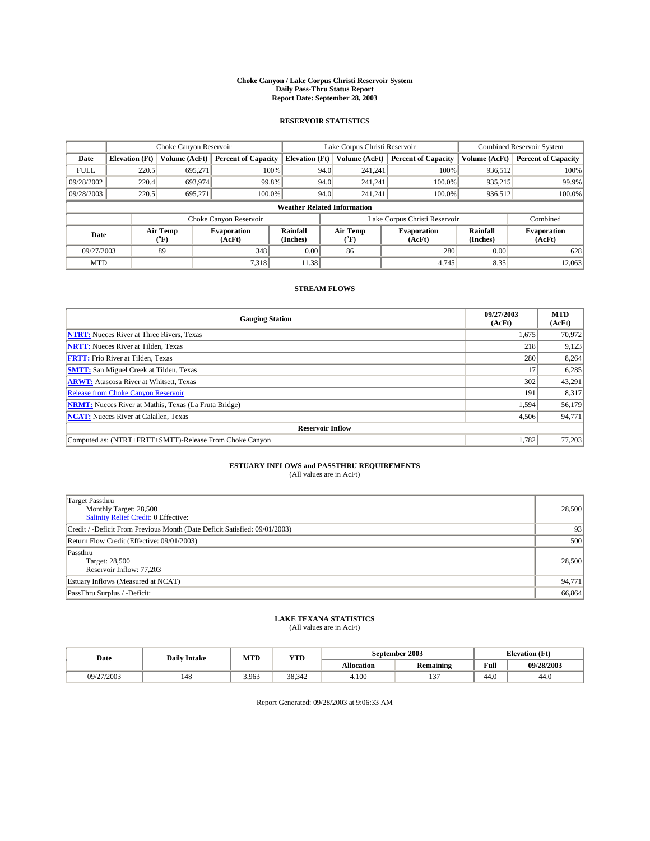#### **Choke Canyon / Lake Corpus Christi Reservoir System Daily Pass-Thru Status Report Report Date: September 28, 2003**

### **RESERVOIR STATISTICS**

|             | Choke Canyon Reservoir             |                  | Lake Corpus Christi Reservoir |                       |                               |                  | <b>Combined Reservoir System</b> |                      |                              |  |
|-------------|------------------------------------|------------------|-------------------------------|-----------------------|-------------------------------|------------------|----------------------------------|----------------------|------------------------------|--|
| Date        | <b>Elevation</b> (Ft)              | Volume (AcFt)    | <b>Percent of Capacity</b>    | <b>Elevation (Ft)</b> |                               | Volume (AcFt)    | <b>Percent of Capacity</b>       | Volume (AcFt)        | <b>Percent of Capacity</b>   |  |
| <b>FULL</b> | 220.5                              | 695,271          | 100%                          |                       | 94.0                          | 241,241          | 100%                             | 936.512              | 100%                         |  |
| 09/28/2002  | 220.4                              | 693,974          | 99.8%                         |                       | 94.0                          | 241.241          | $100.0\%$                        | 935,215              | 99.9%                        |  |
| 09/28/2003  | 220.5                              | 695.271          | 100.0%                        |                       | 94.0                          | 241,241          | $100.0\%$                        | 936,512              | 100.0%                       |  |
|             | <b>Weather Related Information</b> |                  |                               |                       |                               |                  |                                  |                      |                              |  |
|             |                                    |                  | Choke Canyon Reservoir        |                       | Lake Corpus Christi Reservoir |                  |                                  |                      | Combined                     |  |
| Date        |                                    | Air Temp<br>(°F) | <b>Evaporation</b><br>(AcFt)  | Rainfall<br>(Inches)  |                               | Air Temp<br>("F) | <b>Evaporation</b><br>(AcFt)     | Rainfall<br>(Inches) | <b>Evaporation</b><br>(AcFt) |  |
| 09/27/2003  |                                    | 89               | 348                           | 0.00                  |                               | 86               | 280                              | 0.00                 | 628                          |  |
| <b>MTD</b>  |                                    |                  | 7,318                         | 11.38                 |                               |                  | 4,745                            | 8.35                 | 12,063                       |  |

## **STREAM FLOWS**

| <b>Gauging Station</b>                                       | 09/27/2003<br>(AcFt) | <b>MTD</b><br>(AcFt) |
|--------------------------------------------------------------|----------------------|----------------------|
| <b>NTRT:</b> Nueces River at Three Rivers, Texas             | 1,675                | 70,972               |
| <b>NRTT:</b> Nueces River at Tilden, Texas                   | 218                  | 9,123                |
| <b>FRTT:</b> Frio River at Tilden, Texas                     | 280                  | 8,264                |
| <b>SMTT:</b> San Miguel Creek at Tilden, Texas               | 17                   | 6,285                |
| <b>ARWT:</b> Atascosa River at Whitsett, Texas               | 302                  | 43,291               |
| <b>Release from Choke Canyon Reservoir</b>                   | 191                  | 8,317                |
| <b>NRMT:</b> Nueces River at Mathis, Texas (La Fruta Bridge) | 1,594                | 56,179               |
| <b>NCAT:</b> Nueces River at Calallen, Texas                 | 4,506                | 94,771               |
| <b>Reservoir Inflow</b>                                      |                      |                      |
| Computed as: (NTRT+FRTT+SMTT)-Release From Choke Canyon      | 1,782                | 77,203               |

# **ESTUARY INFLOWS and PASSTHRU REQUIREMENTS**<br>(All values are in AcFt)

| <b>Target Passthru</b><br>Monthly Target: 28,500<br>Salinity Relief Credit: 0 Effective: | 28,500 |
|------------------------------------------------------------------------------------------|--------|
| Credit / -Deficit From Previous Month (Date Deficit Satisfied: 09/01/2003)               | 93     |
| Return Flow Credit (Effective: 09/01/2003)                                               | 500    |
| Passthru<br>Target: 28,500<br>Reservoir Inflow: 77,203                                   | 28,500 |
| Estuary Inflows (Measured at NCAT)                                                       | 94,771 |
| PassThru Surplus / -Deficit:                                                             | 66,864 |

# **LAKE TEXANA STATISTICS** (All values are in AcFt)

| Date       | <b>Daily Intake</b> | MTD   | <b>YTD</b> |                   | September 2003     | <b>Elevation</b> (Ft) |            |
|------------|---------------------|-------|------------|-------------------|--------------------|-----------------------|------------|
|            |                     |       |            | <b>Allocation</b> | Remaining          | Full                  | 09/28/2003 |
| 09/27/2003 | 148                 | 3,963 | 38.342     | 4.100             | $\sim$<br><b>L</b> | 44.0                  | 44.0       |

Report Generated: 09/28/2003 at 9:06:33 AM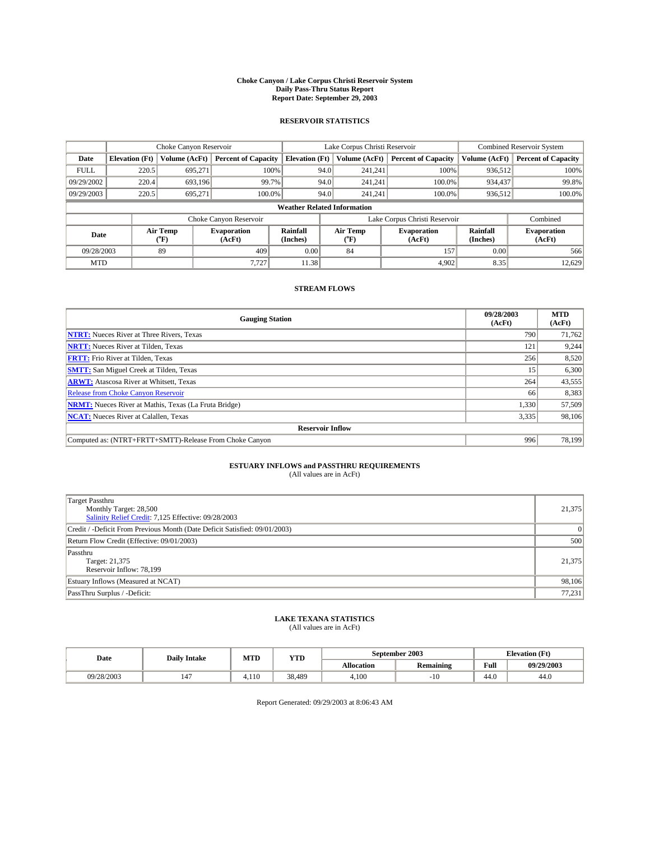#### **Choke Canyon / Lake Corpus Christi Reservoir System Daily Pass-Thru Status Report Report Date: September 29, 2003**

### **RESERVOIR STATISTICS**

|             | Choke Canyon Reservoir             |                  | Lake Corpus Christi Reservoir |                       |                               |                  | <b>Combined Reservoir System</b> |                      |                              |  |
|-------------|------------------------------------|------------------|-------------------------------|-----------------------|-------------------------------|------------------|----------------------------------|----------------------|------------------------------|--|
| Date        | <b>Elevation</b> (Ft)              | Volume (AcFt)    | <b>Percent of Capacity</b>    | <b>Elevation (Ft)</b> |                               | Volume (AcFt)    | <b>Percent of Capacity</b>       | Volume (AcFt)        | <b>Percent of Capacity</b>   |  |
| <b>FULL</b> | 220.5                              | 695,271          | 100%                          |                       | 94.0                          | 241,241          | 100%                             | 936.512              | 100%                         |  |
| 09/29/2002  | 220.4                              | 693.196          | 99.7%                         |                       | 94.0                          | 241.241          | $100.0\%$                        | 934,437              | 99.8%                        |  |
| 09/29/2003  | 220.5                              | 695.271          | 100.0%                        |                       | 94.0                          | 241,241          | $100.0\%$                        | 936,512              | 100.0%                       |  |
|             | <b>Weather Related Information</b> |                  |                               |                       |                               |                  |                                  |                      |                              |  |
|             |                                    |                  | Choke Canyon Reservoir        |                       | Lake Corpus Christi Reservoir |                  |                                  |                      | Combined                     |  |
| Date        |                                    | Air Temp<br>(°F) | <b>Evaporation</b><br>(AcFt)  | Rainfall<br>(Inches)  |                               | Air Temp<br>("F) | <b>Evaporation</b><br>(AcFt)     | Rainfall<br>(Inches) | <b>Evaporation</b><br>(AcFt) |  |
| 09/28/2003  |                                    | 89               | 409                           | 0.00                  |                               | 84               | 157                              | 0.00                 | 566                          |  |
| <b>MTD</b>  |                                    |                  | 7,727                         | 11.38                 |                               |                  | 4,902                            | 8.35                 | 12,629                       |  |

## **STREAM FLOWS**

| <b>Gauging Station</b>                                       | 09/28/2003<br>(AcFt) | <b>MTD</b><br>(AcFt) |
|--------------------------------------------------------------|----------------------|----------------------|
| <b>NTRT:</b> Nueces River at Three Rivers, Texas             | 790                  | 71,762               |
| <b>NRTT:</b> Nueces River at Tilden, Texas                   | 121                  | 9,244                |
| <b>FRTT:</b> Frio River at Tilden, Texas                     | 256                  | 8,520                |
| <b>SMTT:</b> San Miguel Creek at Tilden, Texas               | 15                   | 6,300                |
| <b>ARWT:</b> Atascosa River at Whitsett, Texas               | 264                  | 43,555               |
| <b>Release from Choke Canyon Reservoir</b>                   | 66                   | 8,383                |
| <b>NRMT:</b> Nueces River at Mathis, Texas (La Fruta Bridge) | 1,330                | 57,509               |
| <b>NCAT:</b> Nueces River at Calallen, Texas                 | 3,335                | 98,106               |
| <b>Reservoir Inflow</b>                                      |                      |                      |
| Computed as: (NTRT+FRTT+SMTT)-Release From Choke Canyon      | 996                  | 78,199               |

## **ESTUARY INFLOWS and PASSTHRU REQUIREMENTS**<br>(All values are in AcFt)

| <b>Target Passthru</b><br>Monthly Target: 28,500<br>Salinity Relief Credit: 7,125 Effective: 09/28/2003 | 21,375 |
|---------------------------------------------------------------------------------------------------------|--------|
| Credit / -Deficit From Previous Month (Date Deficit Satisfied: 09/01/2003)                              | 0      |
| Return Flow Credit (Effective: 09/01/2003)                                                              | 500    |
| Passthru<br>Target: 21,375<br>Reservoir Inflow: 78,199                                                  | 21,375 |
| Estuary Inflows (Measured at NCAT)                                                                      | 98,106 |
| PassThru Surplus / -Deficit:                                                                            | 77,231 |

# **LAKE TEXANA STATISTICS** (All values are in AcFt)

| Date       | <b>Daily Intake</b> | MTD  | <b>YTD</b> |                   | September 2003   | <b>Elevation</b> (Ft)      |            |
|------------|---------------------|------|------------|-------------------|------------------|----------------------------|------------|
|            |                     |      |            | <b>Allocation</b> | <b>Remaining</b> | Full                       | 09/29/2003 |
| 09/28/2003 | 147                 | .110 | 38.489     | 4.100             | -16              | $\sim$<br>44. <sub>V</sub> | 44.0       |

Report Generated: 09/29/2003 at 8:06:43 AM